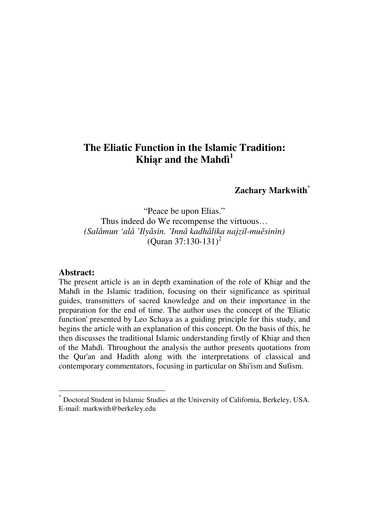# **The Eliatic Function in the Islamic Tradition: Khi**ą**r and the Mahdì<sup>1</sup>**

**Zachary Markwith**\*

"Peace be upon Elias." Thus indeed do We recompense the virtuous… *(Salåmun 'alå 'Ilyåsìn. 'Innå kadhålika najzil-mu*ĕ*sinìn)* (Ouran  $37:130-131$ )<sup>2</sup>

## **Abstract:**

 $\overline{a}$ 

The present article is an in depth examination of the role of Khiąr and the Mahdì in the Islamic tradition, focusing on their significance as spiritual guides, transmitters of sacred knowledge and on their importance in the preparation for the end of time. The author uses the concept of the 'Eliatic function' presented by Leo Schaya as a guiding principle for this study, and begins the article with an explanation of this concept. On the basis of this, he then discusses the traditional Islamic understanding firstly of Khiąr and then of the Mahdì. Throughout the analysis the author presents quotations from the Qur'an and Hadith along with the interpretations of classical and contemporary commentators, focusing in particular on Shi'ism and Sufism.

<sup>\*</sup> Doctoral Student in Islamic Studies at the University of California, Berkeley, USA. E-mail: markwith@berkeley.edu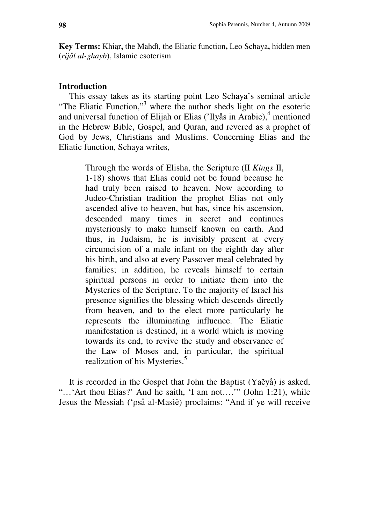**Key Terms:** Khiąr**,** the Mahdì, the Eliatic function**,** Leo Schaya**,** hidden men (*rijål al-ghayb*), Islamic esoterism

# **Introduction**

This essay takes as its starting point Leo Schaya's seminal article "The Eliatic Function,"<sup>3</sup> where the author sheds light on the esoteric and universal function of Elijah or Elias ('Ilyås in Arabic),<sup>4</sup> mentioned in the Hebrew Bible, Gospel, and Quran, and revered as a prophet of God by Jews, Christians and Muslims. Concerning Elias and the Eliatic function, Schaya writes,

> Through the words of Elisha, the Scripture (II *Kings* II, 1-18) shows that Elias could not be found because he had truly been raised to heaven. Now according to Judeo-Christian tradition the prophet Elias not only ascended alive to heaven, but has, since his ascension, descended many times in secret and continues mysteriously to make himself known on earth. And thus, in Judaism, he is invisibly present at every circumcision of a male infant on the eighth day after his birth, and also at every Passover meal celebrated by families; in addition, he reveals himself to certain spiritual persons in order to initiate them into the Mysteries of the Scripture. To the majority of Israel his presence signifies the blessing which descends directly from heaven, and to the elect more particularly he represents the illuminating influence. The Eliatic manifestation is destined, in a world which is moving towards its end, to revive the study and observance of the Law of Moses and, in particular, the spiritual realization of his Mysteries.<sup>5</sup>

It is recorded in the Gospel that John the Baptist (Yaĕyå) is asked, "…'Art thou Elias?' And he saith, 'I am not….'" (John 1:21), while Jesus the Messiah ('ρså al-Masìĕ) proclaims: "And if ye will receive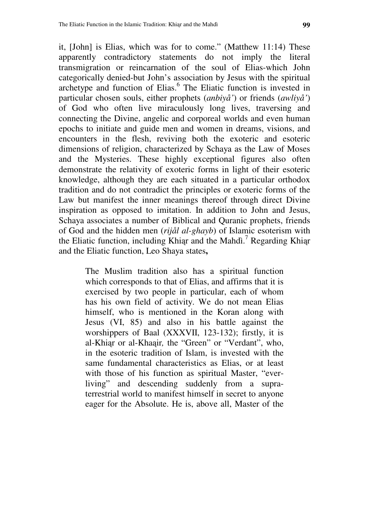it, [John] is Elias, which was for to come." (Matthew 11:14) These apparently contradictory statements do not imply the literal transmigration or reincarnation of the soul of Elias-which John categorically denied-but John's association by Jesus with the spiritual archetype and function of Elias.<sup>6</sup> The Eliatic function is invested in particular chosen souls, either prophets (*anbiyå'*) or friends (*awliyå'*) of God who often live miraculously long lives, traversing and connecting the Divine, angelic and corporeal worlds and even human epochs to initiate and guide men and women in dreams, visions, and encounters in the flesh, reviving both the exoteric and esoteric dimensions of religion, characterized by Schaya as the Law of Moses and the Mysteries. These highly exceptional figures also often demonstrate the relativity of exoteric forms in light of their esoteric knowledge, although they are each situated in a particular orthodox tradition and do not contradict the principles or exoteric forms of the Law but manifest the inner meanings thereof through direct Divine inspiration as opposed to imitation. In addition to John and Jesus, Schaya associates a number of Biblical and Quranic prophets, friends of God and the hidden men (*rijål al-ghayb*) of Islamic esoterism with the Eliatic function, including Khiąr and the Mahdì.<sup>7</sup> Regarding Khiąr and the Eliatic function, Leo Shaya states**,** 

> The Muslim tradition also has a spiritual function which corresponds to that of Elias, and affirms that it is exercised by two people in particular, each of whom has his own field of activity. We do not mean Elias himself, who is mentioned in the Koran along with Jesus (VI, 85) and also in his battle against the worshippers of Baal (XXXVII, 123-132); firstly, it is al-Khiąr or al-Khaąir*,* the "Green" or "Verdant", who, in the esoteric tradition of Islam, is invested with the same fundamental characteristics as Elias, or at least with those of his function as spiritual Master, "everliving" and descending suddenly from a supraterrestrial world to manifest himself in secret to anyone eager for the Absolute. He is, above all, Master of the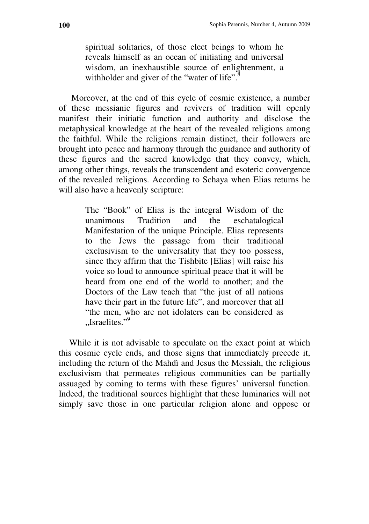spiritual solitaries, of those elect beings to whom he reveals himself as an ocean of initiating and universal wisdom, an inexhaustible source of enlightenment, a withholder and giver of the "water of life". $\frac{8}{3}$ 

 Moreover, at the end of this cycle of cosmic existence, a number of these messianic figures and revivers of tradition will openly manifest their initiatic function and authority and disclose the metaphysical knowledge at the heart of the revealed religions among the faithful. While the religions remain distinct, their followers are brought into peace and harmony through the guidance and authority of these figures and the sacred knowledge that they convey, which, among other things, reveals the transcendent and esoteric convergence of the revealed religions. According to Schaya when Elias returns he will also have a heavenly scripture:

> The "Book" of Elias is the integral Wisdom of the unanimous Tradition and the eschatalogical Manifestation of the unique Principle. Elias represents to the Jews the passage from their traditional exclusivism to the universality that they too possess, since they affirm that the Tishbite [Elias] will raise his voice so loud to announce spiritual peace that it will be heard from one end of the world to another; and the Doctors of the Law teach that "the just of all nations have their part in the future life", and moreover that all "the men, who are not idolaters can be considered as ..Israelites."

While it is not advisable to speculate on the exact point at which this cosmic cycle ends, and those signs that immediately precede it, including the return of the Mahdì and Jesus the Messiah, the religious exclusivism that permeates religious communities can be partially assuaged by coming to terms with these figures' universal function. Indeed, the traditional sources highlight that these luminaries will not simply save those in one particular religion alone and oppose or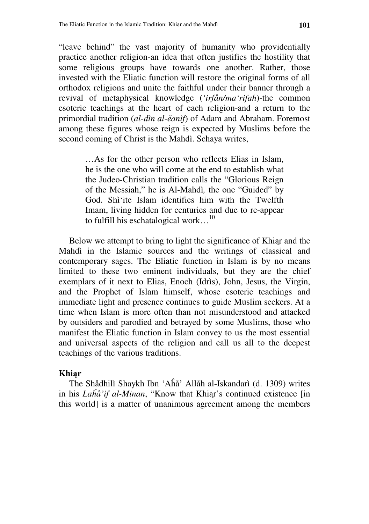"leave behind" the vast majority of humanity who providentially practice another religion-an idea that often justifies the hostility that some religious groups have towards one another. Rather, those invested with the Eliatic function will restore the original forms of all orthodox religions and unite the faithful under their banner through a revival of metaphysical knowledge (*'irfån/ma'rifah*)-the common esoteric teachings at the heart of each religion-and a return to the primordial tradition (*al-dìn al-*ĕ*anìf*) of Adam and Abraham. Foremost among these figures whose reign is expected by Muslims before the second coming of Christ is the Mahdì. Schaya writes,

> …As for the other person who reflects Elias in Islam, he is the one who will come at the end to establish what the Judeo-Christian tradition calls the "Glorious Reign of the Messiah," he is Al-Mahdì*,* the one "Guided" by God. Shì'ite Islam identifies him with the Twelfth Imam, living hidden for centuries and due to re-appear to fulfill his eschatalogical work...<sup>10</sup>

Below we attempt to bring to light the significance of Khiąr and the Mahdì in the Islamic sources and the writings of classical and contemporary sages. The Eliatic function in Islam is by no means limited to these two eminent individuals, but they are the chief exemplars of it next to Elias, Enoch (Idrìs), John, Jesus, the Virgin, and the Prophet of Islam himself, whose esoteric teachings and immediate light and presence continues to guide Muslim seekers. At a time when Islam is more often than not misunderstood and attacked by outsiders and parodied and betrayed by some Muslims, those who manifest the Eliatic function in Islam convey to us the most essential and universal aspects of the religion and call us all to the deepest teachings of the various traditions.

#### **Khi**ą**r**

The Shådhilì Shaykh Ibn 'Aĥå' Allåh al-Iskandarì (d. 1309) writes in his *La*ĥ*å'if al-Minan*, "Know that Khiąr's continued existence [in this world] is a matter of unanimous agreement among the members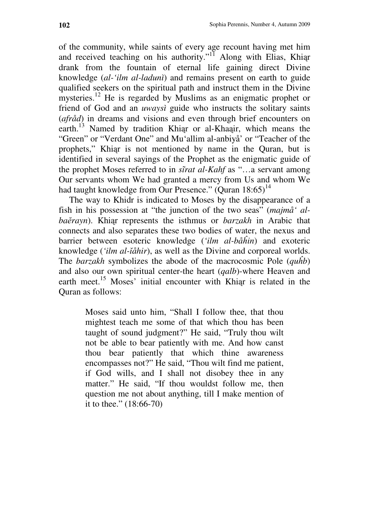of the community, while saints of every age recount having met him and received teaching on his authority."<sup>11</sup> Along with Elias, Khiar drank from the fountain of eternal life gaining direct Divine knowledge (*al-'ilm al-ladunì*) and remains present on earth to guide qualified seekers on the spiritual path and instruct them in the Divine mysteries.<sup>12</sup> He is regarded by Muslims as an enigmatic prophet or friend of God and an *uwaysì* guide who instructs the solitary saints (*afråd*) in dreams and visions and even through brief encounters on earth.<sup>13</sup> Named by tradition Khiar or al-Khaair, which means the "Green" or "Verdant One" and Mu'allim al-anbiyå' or "Teacher of the prophets," Khiąr is not mentioned by name in the Quran, but is identified in several sayings of the Prophet as the enigmatic guide of the prophet Moses referred to in *s*ĩ*rat al-Kahf* as "…a servant among Our servants whom We had granted a mercy from Us and whom We had taught knowledge from Our Presence." (Quran  $18:65$ )<sup>14</sup>

The way to Khidr is indicated to Moses by the disappearance of a fish in his possession at "the junction of the two seas" (*majmå' alba*ĕ*rayn*). Khiąr represents the isthmus or *barzakh* in Arabic that connects and also separates these two bodies of water, the nexus and barrier between esoteric knowledge (*'ilm al-bå*ĥ*in*) and exoteric knowledge (*'ilm al-*ĭ*åhir*), as well as the Divine and corporeal worlds. The *barzakh* symbolizes the abode of the macrocosmic Pole (*qu*ĥ*b*) and also our own spiritual center-the heart (*qalb*)-where Heaven and earth meet.<sup>15</sup> Moses' initial encounter with Khiar is related in the Quran as follows:

> Moses said unto him, "Shall I follow thee, that thou mightest teach me some of that which thou has been taught of sound judgment?" He said, "Truly thou wilt not be able to bear patiently with me. And how canst thou bear patiently that which thine awareness encompasses not?" He said, "Thou wilt find me patient, if God wills, and I shall not disobey thee in any matter." He said, "If thou wouldst follow me, then question me not about anything, till I make mention of it to thee." (18:66-70)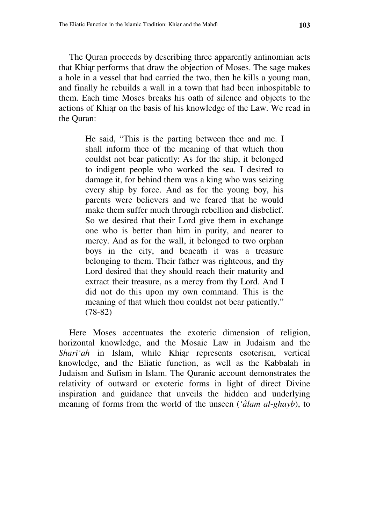The Quran proceeds by describing three apparently antinomian acts that Khiąr performs that draw the objection of Moses. The sage makes a hole in a vessel that had carried the two, then he kills a young man, and finally he rebuilds a wall in a town that had been inhospitable to them. Each time Moses breaks his oath of silence and objects to the actions of Khiąr on the basis of his knowledge of the Law. We read in the Quran:

> He said, "This is the parting between thee and me. I shall inform thee of the meaning of that which thou couldst not bear patiently: As for the ship, it belonged to indigent people who worked the sea. I desired to damage it, for behind them was a king who was seizing every ship by force. And as for the young boy, his parents were believers and we feared that he would make them suffer much through rebellion and disbelief. So we desired that their Lord give them in exchange one who is better than him in purity, and nearer to mercy. And as for the wall, it belonged to two orphan boys in the city, and beneath it was a treasure belonging to them. Their father was righteous, and thy Lord desired that they should reach their maturity and extract their treasure, as a mercy from thy Lord. And I did not do this upon my own command. This is the meaning of that which thou couldst not bear patiently." (78-82)

Here Moses accentuates the exoteric dimension of religion, horizontal knowledge, and the Mosaic Law in Judaism and the *Sharì'ah* in Islam, while Khiąr represents esoterism, vertical knowledge, and the Eliatic function, as well as the Kabbalah in Judaism and Sufism in Islam. The Quranic account demonstrates the relativity of outward or exoteric forms in light of direct Divine inspiration and guidance that unveils the hidden and underlying meaning of forms from the world of the unseen (*'ålam al*-*ghayb*), to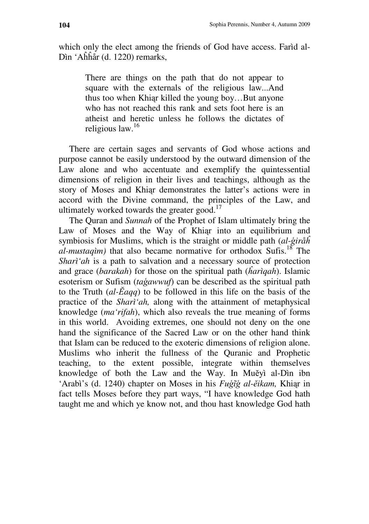which only the elect among the friends of God have access. Farìd al-Dìn 'Aĥĥår (d. 1220) remarks,

> There are things on the path that do not appear to square with the externals of the religious law...And thus too when Khiąr killed the young boy…But anyone who has not reached this rank and sets foot here is an atheist and heretic unless he follows the dictates of religious law.<sup>16</sup>

There are certain sages and servants of God whose actions and purpose cannot be easily understood by the outward dimension of the Law alone and who accentuate and exemplify the quintessential dimensions of religion in their lives and teachings, although as the story of Moses and Khiąr demonstrates the latter's actions were in accord with the Divine command, the principles of the Law, and ultimately worked towards the greater good. $17$ 

The Quran and *Sunnah* of the Prophet of Islam ultimately bring the Law of Moses and the Way of Khiąr into an equilibrium and symbiosis for Muslims, which is the straight or middle path (*al*-ģ*irå*ĥ *al-mustaqìm*) that also became normative for orthodox Sufis.<sup>18</sup> The *Sharì'ah* is a path to salvation and a necessary source of protection and grace (*barakah*) for those on the spiritual path (ĥ*arìqah*). Islamic esoterism or Sufism (*ta*ģ*awwuf*) can be described as the spiritual path to the Truth (*al-*Ĕ*aqq*) to be followed in this life on the basis of the practice of the *Sharì'ah,* along with the attainment of metaphysical knowledge (*ma'rifah*), which also reveals the true meaning of forms in this world. Avoiding extremes, one should not deny on the one hand the significance of the Sacred Law or on the other hand think that Islam can be reduced to the exoteric dimensions of religion alone. Muslims who inherit the fullness of the Quranic and Prophetic teaching, to the extent possible, integrate within themselves knowledge of both the Law and the Way. In Muĕyì al-Dìn ibn 'Arabì's (d. 1240) chapter on Moses in his *Fu*ģĩģ *al-*ĕ*ikam,* Khiąr in fact tells Moses before they part ways, "I have knowledge God hath taught me and which ye know not, and thou hast knowledge God hath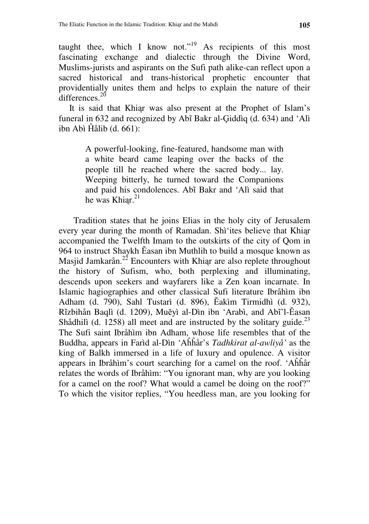taught thee, which I know not."<sup>19</sup> As recipients of this most fascinating exchange and dialectic through the Divine Word, Muslims-jurists and aspirants on the Sufi path alike-can reflect upon a sacred historical and trans-historical prophetic encounter that providentially unites them and helps to explain the nature of their  $diff$ erences.<sup>20</sup>

It is said that Khiąr was also present at the Prophet of Islam's funeral in 632 and recognized by Abĩ Bakr al-Ģiddìq (d. 634) and 'Alì ibn Abì Ĥålib (d. 661):

> A powerful-looking, fine-featured, handsome man with a white beard came leaping over the backs of the people till he reached where the sacred body... lay. Weeping bitterly, he turned toward the Companions and paid his condolences. Abĩ Bakr and 'Alì said that he was Khiąr. 21

 Tradition states that he joins Elias in the holy city of Jerusalem every year during the month of Ramadan. Shì'ites believe that Khiąr accompanied the Twelfth Imam to the outskirts of the city of Qom in 964 to instruct Shaykh Ĕasan ibn Muthlih to build a mosque known as Masjid Jamkarån.<sup>22</sup> Encounters with Khiar are also replete throughout the history of Sufism, who, both perplexing and illuminating, descends upon seekers and wayfarers like a Zen koan incarnate. In Islamic hagiographies and other classical Sufi literature Ibråhìm ibn Adham (d. 790), Sahl Tustarì (d. 896), Ĕakìm Tirmidhì (d. 932), Rĩzbihån Baqlì (d. 1209), Muĕyì al-Dìn ibn 'Arabì, and Abĩ'l-Ĕasan Shådhilì (d. 1258) all meet and are instructed by the solitary guide.<sup>23</sup> The Sufi saint Ibråhìm ibn Adham, whose life resembles that of the Buddha, appears in Farìd al-Dìn 'Aĥĥår's *Tadhkirat al-awliyå'* as the king of Balkh immersed in a life of luxury and opulence. A visitor appears in Ibråhìm's court searching for a camel on the roof. 'Aĥĥår relates the words of Ibråhìm: "You ignorant man, why are you looking for a camel on the roof? What would a camel be doing on the roof?" To which the visitor replies, "You heedless man, are you looking for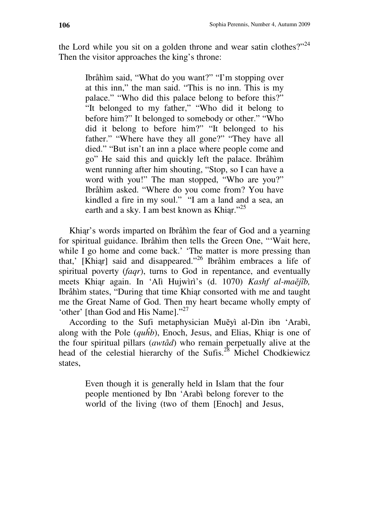the Lord while you sit on a golden throne and wear satin clothes?"<sup>24</sup> Then the visitor approaches the king's throne:

> Ibråhìm said, "What do you want?" "I'm stopping over at this inn," the man said. "This is no inn. This is my palace." "Who did this palace belong to before this?" "It belonged to my father," "Who did it belong to before him?" It belonged to somebody or other." "Who did it belong to before him?" "It belonged to his father." "Where have they all gone?" "They have all died." "But isn't an inn a place where people come and go" He said this and quickly left the palace. Ibråhìm went running after him shouting, "Stop, so I can have a word with you!" The man stopped, "Who are you?" Ibråhìm asked. "Where do you come from? You have kindled a fire in my soul." "I am a land and a sea, an earth and a sky. I am best known as Khiar."<sup>25</sup>

Khiąr's words imparted on Ibråhìm the fear of God and a yearning for spiritual guidance. Ibråhìm then tells the Green One, "'Wait here, while I go home and come back.' 'The matter is more pressing than that,' [Khiąr] said and disappeared."<sup>26</sup> Ibråhìm embraces a life of spiritual poverty (*faqr*), turns to God in repentance, and eventually meets Khiąr again. In 'Alì Hujwìrì's (d. 1070) *Kashf al-ma*ĕ*j*ĩ*b,* Ibråhìm states, "During that time Khiąr consorted with me and taught me the Great Name of God. Then my heart became wholly empty of 'other' [than God and His Name]."<sup>27</sup>

According to the Sufi metaphysician Muĕyì al-Dìn ibn 'Arabì, along with the Pole (*qu*ĥ*b*), Enoch, Jesus, and Elias, Khiąr is one of the four spiritual pillars (*awtåd*) who remain perpetually alive at the head of the celestial hierarchy of the Sufis.<sup>28</sup> Michel Chodkiewicz states,

> Even though it is generally held in Islam that the four people mentioned by Ibn 'Arabì belong forever to the world of the living (two of them [Enoch] and Jesus,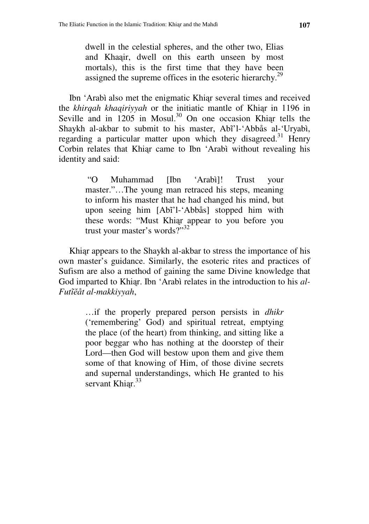dwell in the celestial spheres, and the other two, Elias and Khaąir, dwell on this earth unseen by most mortals), this is the first time that they have been assigned the supreme offices in the esoteric hierarchy.<sup>29</sup>

Ibn 'Arabì also met the enigmatic Khiąr several times and received the *khirqah kha*ą*iriyyah* or the initiatic mantle of Khiąr in 1196 in Seville and in 1205 in Mosul.<sup>30</sup> On one occasion Khiar tells the Shaykh al-akbar to submit to his master, Abĩ'l-'Abbås al-'Uryabì, regarding a particular matter upon which they disagreed.<sup>31</sup> Henry Corbin relates that Khiąr came to Ibn 'Arabì without revealing his identity and said:

> "O Muhammad [Ibn 'Arabì]! Trust your master."…The young man retraced his steps, meaning to inform his master that he had changed his mind, but upon seeing him [Abĩ'l-'Abbås] stopped him with these words: "Must Khiąr appear to you before you trust your master's words?"<sup>32</sup>

Khiąr appears to the Shaykh al-akbar to stress the importance of his own master's guidance. Similarly, the esoteric rites and practices of Sufism are also a method of gaining the same Divine knowledge that God imparted to Khiąr. Ibn 'Arabì relates in the introduction to his *al-Fut*ĩĕ*åt al-makkiyyah*,

> …if the properly prepared person persists in *dhikr* ('remembering' God) and spiritual retreat, emptying the place (of the heart) from thinking, and sitting like a poor beggar who has nothing at the doorstep of their Lord—then God will bestow upon them and give them some of that knowing of Him, of those divine secrets and supernal understandings, which He granted to his servant Khiąr.<sup>33</sup>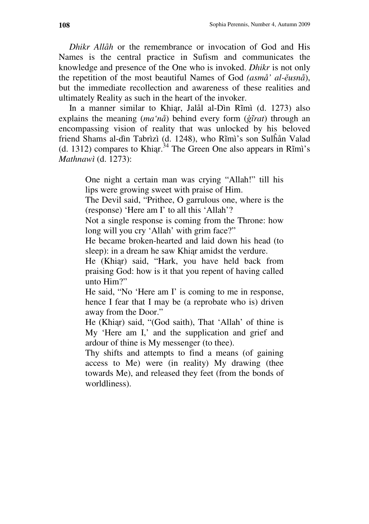*Dhikr Allåh* or the remembrance or invocation of God and His Names is the central practice in Sufism and communicates the knowledge and presence of the One who is invoked. *Dhikr* is not only the repetition of the most beautiful Names of God *(asmå' al-*ĕ*usnå*), but the immediate recollection and awareness of these realities and ultimately Reality as such in the heart of the invoker.

In a manner similar to Khiąr, Jalål al-Dìn Rĩmì (d. 1273) also explains the meaning (*ma'nå*) behind every form (ģĩ*rat*) through an encompassing vision of reality that was unlocked by his beloved friend Shams al-dìn Tabrìzì (d. 1248), who Rĩmì's son Sulĥån Valad (d. 1312) compares to Khiar.<sup>34</sup> The Green One also appears in R $\tilde{m}$ 's *Mathnawì* (d. 1273):

> One night a certain man was crying "Allah!" till his lips were growing sweet with praise of Him.

> The Devil said, "Prithee, O garrulous one, where is the (response) 'Here am I' to all this 'Allah'?

> Not a single response is coming from the Throne: how long will you cry 'Allah' with grim face?"

> He became broken-hearted and laid down his head (to sleep): in a dream he saw Khiąr amidst the verdure.

> He (Khiąr) said, "Hark, you have held back from praising God: how is it that you repent of having called unto Him?"

> He said, "No 'Here am I' is coming to me in response, hence I fear that I may be (a reprobate who is) driven away from the Door."

> He (Khiąr) said, "(God saith), That 'Allah' of thine is My 'Here am I,' and the supplication and grief and ardour of thine is My messenger (to thee).

> Thy shifts and attempts to find a means (of gaining access to Me) were (in reality) My drawing (thee towards Me), and released they feet (from the bonds of worldliness).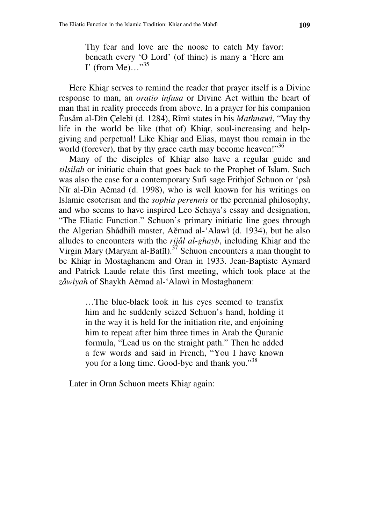Thy fear and love are the noose to catch My favor: beneath every 'O Lord' (of thine) is many a 'Here am I' (from Me)..." $35$ 

Here Khiąr serves to remind the reader that prayer itself is a Divine response to man, an *oratio infusa* or Divine Act within the heart of man that in reality proceeds from above. In a prayer for his companion Ĕusåm al-Dìn Çelebì (d. 1284), Rĩmì states in his *Mathnawì*, "May thy life in the world be like (that of) Khiąr, soul-increasing and helpgiving and perpetual! Like Khiąr and Elias, mayst thou remain in the world (forever), that by thy grace earth may become heaven!"<sup>36</sup>

Many of the disciples of Khiąr also have a regular guide and *silsilah* or initiatic chain that goes back to the Prophet of Islam. Such was also the case for a contemporary Sufi sage Frithjof Schuon or 'ρså Nĩr al-Dìn Aĕmad (d. 1998), who is well known for his writings on Islamic esoterism and the *sophia perennis* or the perennial philosophy, and who seems to have inspired Leo Schaya's essay and designation, "The Eliatic Function." Schuon's primary initiatic line goes through the Algerian Shådhilì master, Aĕmad al-'Alawì (d. 1934), but he also alludes to encounters with the *rijål al-ghayb*, including Khiąr and the Virgin Mary (Maryam al-Batîl).<sup>37</sup> Schuon encounters a man thought to be Khiąr in Mostaghanem and Oran in 1933. Jean-Baptiste Aymard and Patrick Laude relate this first meeting, which took place at the *zåwiyah* of Shaykh Aĕmad al-'Alawì in Mostaghanem:

> …The blue-black look in his eyes seemed to transfix him and he suddenly seized Schuon's hand, holding it in the way it is held for the initiation rite, and enjoining him to repeat after him three times in Arab the Quranic formula, "Lead us on the straight path." Then he added a few words and said in French, "You I have known you for a long time. Good-bye and thank you."<sup>38</sup>

Later in Oran Schuon meets Khiąr again: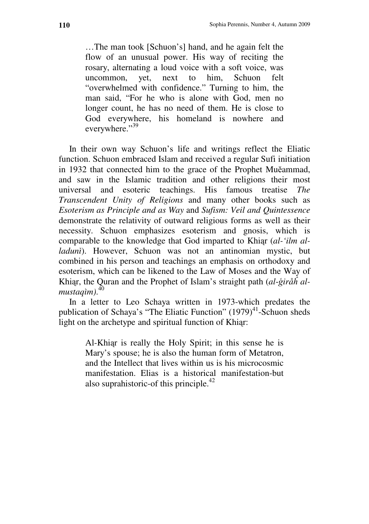…The man took [Schuon's] hand, and he again felt the flow of an unusual power. His way of reciting the rosary, alternating a loud voice with a soft voice, was uncommon, yet, next to him, Schuon felt "overwhelmed with confidence." Turning to him, the man said, "For he who is alone with God, men no longer count, he has no need of them. He is close to God everywhere, his homeland is nowhere and everywhere."<sup>39</sup>

In their own way Schuon's life and writings reflect the Eliatic function. Schuon embraced Islam and received a regular Sufi initiation in 1932 that connected him to the grace of the Prophet Muĕammad, and saw in the Islamic tradition and other religions their most universal and esoteric teachings. His famous treatise *The Transcendent Unity of Religions* and many other books such as *Esoterism as Principle and as Way* and *Sufism: Veil and Quintessence* demonstrate the relativity of outward religious forms as well as their necessity. Schuon emphasizes esoterism and gnosis, which is comparable to the knowledge that God imparted to Khiąr (*al-'ilm alladunì*). However, Schuon was not an antinomian mystic, but combined in his person and teachings an emphasis on orthodoxy and esoterism, which can be likened to the Law of Moses and the Way of Khiąr, the Quran and the Prophet of Islam's straight path (*al*-ģ*irå*ĥ *almustaqìm)*. 40

In a letter to Leo Schaya written in 1973-which predates the publication of Schaya's "The Eliatic Function"  $(1979)^{41}$ -Schuon sheds light on the archetype and spiritual function of Khiar:

> Al-Khiąr is really the Holy Spirit; in this sense he is Mary's spouse; he is also the human form of Metatron, and the Intellect that lives within us is his microcosmic manifestation. Elias is a historical manifestation-but also suprahistoric-of this principle.<sup>42</sup>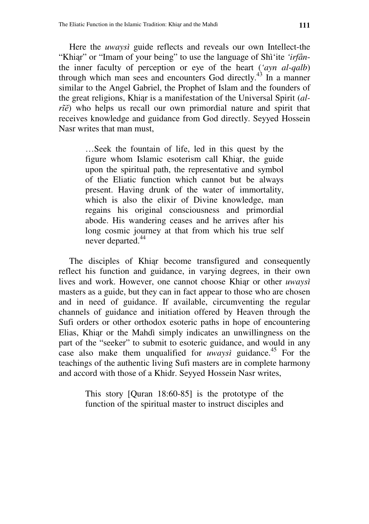Here the *uwaysì* guide reflects and reveals our own Intellect-the "Khiąr" or "Imam of your being" to use the language of Shì'ite *'irfån*the inner faculty of perception or eye of the heart (*'ayn al-qalb*) through which man sees and encounters God directly.<sup>43</sup> In a manner similar to the Angel Gabriel, the Prophet of Islam and the founders of the great religions, Khiąr is a manifestation of the Universal Spirit (*alr*ĩĕ) who helps us recall our own primordial nature and spirit that receives knowledge and guidance from God directly. Seyyed Hossein Nasr writes that man must,

> …Seek the fountain of life, led in this quest by the figure whom Islamic esoterism call Khiąr, the guide upon the spiritual path, the representative and symbol of the Eliatic function which cannot but be always present. Having drunk of the water of immortality, which is also the elixir of Divine knowledge, man regains his original consciousness and primordial abode. His wandering ceases and he arrives after his long cosmic journey at that from which his true self never departed.<sup>44</sup>

The disciples of Khiąr become transfigured and consequently reflect his function and guidance, in varying degrees, in their own lives and work. However, one cannot choose Khiąr or other *uwaysì* masters as a guide, but they can in fact appear to those who are chosen and in need of guidance. If available, circumventing the regular channels of guidance and initiation offered by Heaven through the Sufi orders or other orthodox esoteric paths in hope of encountering Elias, Khiąr or the Mahdì simply indicates an unwillingness on the part of the "seeker" to submit to esoteric guidance, and would in any case also make them unqualified for *uwaysi* guidance.<sup>45</sup> For the teachings of the authentic living Sufi masters are in complete harmony and accord with those of a Khidr. Seyyed Hossein Nasr writes,

> This story [Quran 18:60-85] is the prototype of the function of the spiritual master to instruct disciples and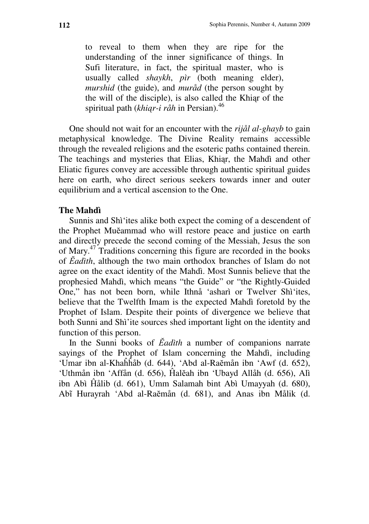to reveal to them when they are ripe for the understanding of the inner significance of things. In Sufi literature, in fact, the spiritual master, who is usually called *shaykh*, *pìr* (both meaning elder), *murshid* (the guide), and *muråd* (the person sought by the will of the disciple), is also called the Khiąr of the spiritual path (*khi*ą*r-i råh* in Persian).<sup>46</sup>

One should not wait for an encounter with the *rijål al-ghayb* to gain metaphysical knowledge. The Divine Reality remains accessible through the revealed religions and the esoteric paths contained therein. The teachings and mysteries that Elias, Khiąr, the Mahdì and other Eliatic figures convey are accessible through authentic spiritual guides here on earth, who direct serious seekers towards inner and outer equilibrium and a vertical ascension to the One.

# **The Mahdì**

Sunnis and Shì'ites alike both expect the coming of a descendent of the Prophet Muĕammad who will restore peace and justice on earth and directly precede the second coming of the Messiah, Jesus the son of Mary.<sup>47</sup> Traditions concerning this figure are recorded in the books of Ĕ*adìth*, although the two main orthodox branches of Islam do not agree on the exact identity of the Mahdì. Most Sunnis believe that the prophesied Mahdì, which means "the Guide" or "the Rightly-Guided One," has not been born, while Ithnå 'asharì or Twelver Shì'ites, believe that the Twelfth Imam is the expected Mahdì foretold by the Prophet of Islam. Despite their points of divergence we believe that both Sunni and Shì'ite sources shed important light on the identity and function of this person.

In the Sunni books of Ĕ*adìth* a number of companions narrate sayings of the Prophet of Islam concerning the Mahdì, including 'Umar ibn al-Khaĥĥåb (d. 644), 'Abd al-Raĕmån ibn 'Awf (d. 652), 'Uthmån ibn 'Affån (d. 656), Ĥalĕah ibn 'Ubayd Allåh (d. 656), Alì ibn Abì Ĥålib (d. 661), Umm Salamah bint Abì Umayyah (d. 680), Abĩ Hurayrah 'Abd al-Raĕmån (d. 681), and Anas ibn Målik (d.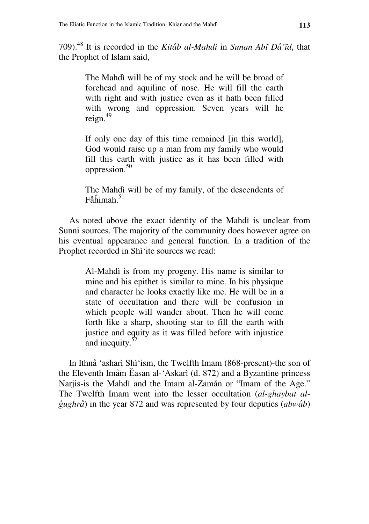709).<sup>48</sup> It is recorded in the *Kitåb al-Mahdì* in *Sunan Ab*ĩ *Då'*ĩ*d*, that the Prophet of Islam said,

> The Mahdì will be of my stock and he will be broad of forehead and aquiline of nose. He will fill the earth with right and with justice even as it hath been filled with wrong and oppression. Seven years will he reign.<sup>49</sup>

> If only one day of this time remained [in this world], God would raise up a man from my family who would fill this earth with justice as it has been filled with oppression.<sup>50</sup>

> The Mahdì will be of my family, of the descendents of Fåĥimah.<sup>51</sup>

As noted above the exact identity of the Mahdì is unclear from Sunni sources. The majority of the community does however agree on his eventual appearance and general function. In a tradition of the Prophet recorded in Shì'ite sources we read:

> Al-Mahdì is from my progeny. His name is similar to mine and his epithet is similar to mine. In his physique and character he looks exactly like me. He will be in a state of occultation and there will be confusion in which people will wander about. Then he will come forth like a sharp, shooting star to fill the earth with justice and equity as it was filled before with injustice and inequity.<sup>52</sup>

In Ithnå 'asharì Shì'ism, the Twelfth Imam (868-present)-the son of the Eleventh Imåm Ĕasan al-'Askarì (d. 872) and a Byzantine princess Narjis-is the Mahdì and the Imam al-Zamån or "Imam of the Age." The Twelfth Imam went into the lesser occultation (*al-ghaybat al*ģ*ughrå*) in the year 872 and was represented by four deputies (*abwåb*)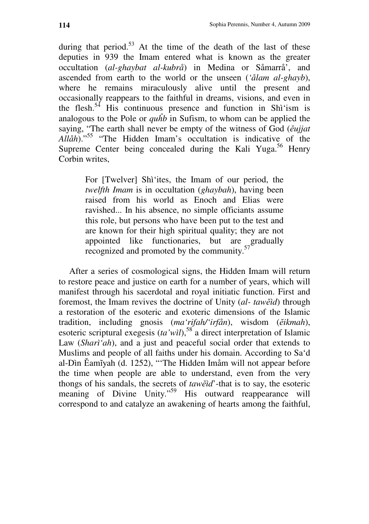during that period. $53$  At the time of the death of the last of these deputies in 939 the Imam entered what is known as the greater occultation (*al-ghaybat al-kubrå*) in Medina or Såmarrå', and ascended from earth to the world or the unseen (*'ålam al-ghayb*), where he remains miraculously alive until the present and occasionally reappears to the faithful in dreams, visions, and even in the flesh.<sup>54</sup> His continuous presence and function in Shì'ism is analogous to the Pole or *qu*ĥ*b* in Sufism, to whom can be applied the saying, "The earth shall never be empty of the witness of God (ĕ*ujjat Allåh*)."<sup>55</sup> "The Hidden Imam's occultation is indicative of the Supreme Center being concealed during the Kali Yuga.<sup>56</sup> Henry Corbin writes,

> For [Twelver] Shì'ites, the Imam of our period, the *twelfth Imam* is in occultation (*ghaybah*), having been raised from his world as Enoch and Elias were ravished... In his absence, no simple officiants assume this role, but persons who have been put to the test and are known for their high spiritual quality; they are not appointed like functionaries, but are gradually recognized and promoted by the community.<sup>57</sup>

After a series of cosmological signs, the Hidden Imam will return to restore peace and justice on earth for a number of years, which will manifest through his sacerdotal and royal initiatic function. First and foremost, the Imam revives the doctrine of Unity (*al- taw*ĕ*ìd*) through a restoration of the esoteric and exoteric dimensions of the Islamic tradition, including gnosis (*ma'rifah/'irfån*), wisdom (ĕ*ikmah*), esoteric scriptural exegesis (*ta'wìl*),<sup>58</sup> a direct interpretation of Islamic Law (*Sharì'ah*), and a just and peaceful social order that extends to Muslims and people of all faiths under his domain. According to Sa'd al-Dìn Ĕamĩyah (d. 1252), "'The Hidden Imåm will not appear before the time when people are able to understand, even from the very thongs of his sandals, the secrets of *taw*ĕ*ìd*'-that is to say, the esoteric meaning of Divine Unity."<sup>59</sup> His outward reappearance will correspond to and catalyze an awakening of hearts among the faithful,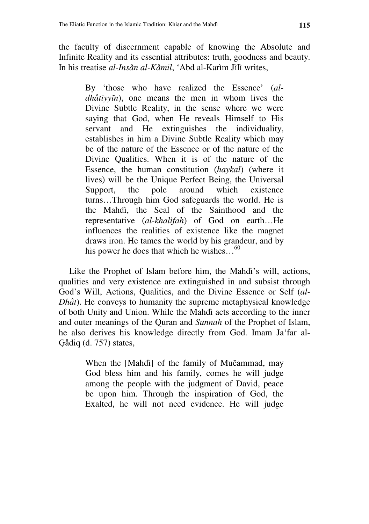the faculty of discernment capable of knowing the Absolute and Infinite Reality and its essential attributes: truth, goodness and beauty. In his treatise *al-Insån al-Kåmil*, 'Abd al-Karìm Jìlì writes,

> By 'those who have realized the Essence' (*aldhåtivy* $\tilde{i}$ *n*), one means the men in whom lives the Divine Subtle Reality, in the sense where we were saying that God, when He reveals Himself to His servant and He extinguishes the individuality, establishes in him a Divine Subtle Reality which may be of the nature of the Essence or of the nature of the Divine Qualities. When it is of the nature of the Essence, the human constitution (*haykal*) (where it lives) will be the Unique Perfect Being, the Universal Support, the pole around which existence turns…Through him God safeguards the world. He is the Mahdì, the Seal of the Sainthood and the representative (*al-khalìfah*) of God on earth…He influences the realities of existence like the magnet draws iron. He tames the world by his grandeur, and by his power he does that which he wishes...<sup>60</sup>

Like the Prophet of Islam before him, the Mahdì's will, actions, qualities and very existence are extinguished in and subsist through God's Will, Actions, Qualities, and the Divine Essence or Self (*al-Dhåt*). He conveys to humanity the supreme metaphysical knowledge of both Unity and Union. While the Mahdì acts according to the inner and outer meanings of the Quran and *Sunnah* of the Prophet of Islam, he also derives his knowledge directly from God. Imam Ja'far al-Ģådiq (d. 757) states,

> When the [Mahdì] of the family of Muĕammad, may God bless him and his family, comes he will judge among the people with the judgment of David, peace be upon him. Through the inspiration of God, the Exalted, he will not need evidence. He will judge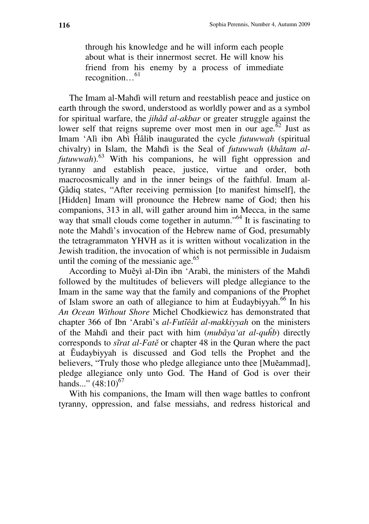through his knowledge and he will inform each people about what is their innermost secret. He will know his friend from his enemy by a process of immediate recognition... $^{61}$ 

The Imam al-Mahdì will return and reestablish peace and justice on earth through the sword, understood as worldly power and as a symbol for spiritual warfare, the *jihåd al-akbar* or greater struggle against the lower self that reigns supreme over most men in our age. $62$  Just as Imam 'Alì ibn Abì Ĥålib inaugurated the cycle *futuwwah* (spiritual chivalry) in Islam, the Mahdì is the Seal of *futuwwah* (*khåtam alfutuwwah*).<sup>63</sup> With his companions, he will fight oppression and tyranny and establish peace, justice, virtue and order, both macrocosmically and in the inner beings of the faithful. Imam al-Ģådiq states, "After receiving permission [to manifest himself], the [Hidden] Imam will pronounce the Hebrew name of God; then his companions, 313 in all, will gather around him in Mecca, in the same way that small clouds come together in autumn."<sup>64</sup> It is fascinating to note the Mahdì's invocation of the Hebrew name of God, presumably the tetragrammaton YHVH as it is written without vocalization in the Jewish tradition, the invocation of which is not permissible in Judaism until the coming of the messianic age. $65$ 

According to Muĕyì al-Dìn ibn 'Arabì, the ministers of the Mahdì followed by the multitudes of believers will pledge allegiance to the Imam in the same way that the family and companions of the Prophet of Islam swore an oath of allegiance to him at Eudaybiyyah.<sup>66</sup> In his *An Ocean Without Shore* Michel Chodkiewicz has demonstrated that chapter 366 of Ibn 'Arabì's *al-Fut*ĩĕ*åt al-makkiyyah* on the ministers of the Mahdì and their pact with him (*mubåya'at al-qu*ĥ*b*) directly corresponds to *s*ĩ*rat al-Fat*ĕ or chapter 48 in the Quran where the pact at Ĕudaybiyyah is discussed and God tells the Prophet and the believers, "Truly those who pledge allegiance unto thee [Muĕammad], pledge allegiance only unto God. The Hand of God is over their hands..."  $(48:10)^{67}$ 

With his companions, the Imam will then wage battles to confront tyranny, oppression, and false messiahs, and redress historical and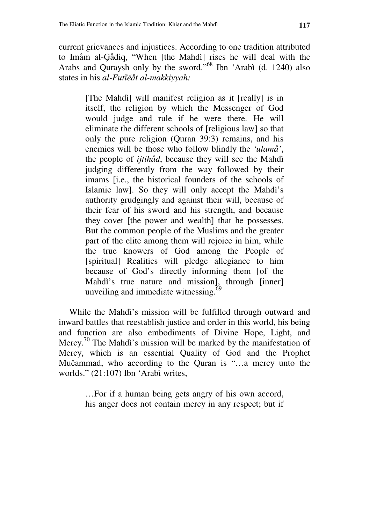current grievances and injustices. According to one tradition attributed to Imåm al-Ģådiq, "When [the Mahdì] rises he will deal with the Arabs and Quraysh only by the sword."<sup>68</sup> Ibn 'Arabì (d. 1240) also states in his *al-Fut*ĩĕ*åt al-makkiyyah:* 

> [The Mahdì] will manifest religion as it [really] is in itself, the religion by which the Messenger of God would judge and rule if he were there. He will eliminate the different schools of [religious law] so that only the pure religion (Quran 39:3) remains, and his enemies will be those who follow blindly the *'ulamå'*, the people of *ijtihåd*, because they will see the Mahdì judging differently from the way followed by their imams [i.e., the historical founders of the schools of Islamic law]. So they will only accept the Mahdì's authority grudgingly and against their will, because of their fear of his sword and his strength, and because they covet [the power and wealth] that he possesses. But the common people of the Muslims and the greater part of the elite among them will rejoice in him, while the true knowers of God among the People of [spiritual] Realities will pledge allegiance to him because of God's directly informing them [of the Mahdì's true nature and mission], through [inner] unveiling and immediate witnessing.<sup>69</sup>

While the Mahdì's mission will be fulfilled through outward and inward battles that reestablish justice and order in this world, his being and function are also embodiments of Divine Hope, Light, and Mercy.<sup>70</sup> The Mahdì's mission will be marked by the manifestation of Mercy, which is an essential Quality of God and the Prophet Muĕammad, who according to the Quran is "…a mercy unto the worlds." (21:107) Ibn 'Arabì writes,

> …For if a human being gets angry of his own accord, his anger does not contain mercy in any respect; but if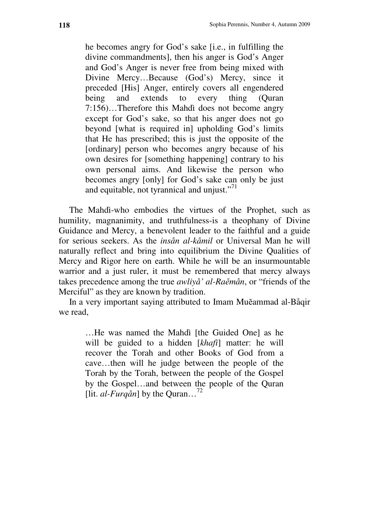he becomes angry for God's sake [i.e., in fulfilling the divine commandments], then his anger is God's Anger and God's Anger is never free from being mixed with Divine Mercy…Because (God's) Mercy, since it preceded [His] Anger, entirely covers all engendered being and extends to every thing (Ouran 7:156)…Therefore this Mahdì does not become angry except for God's sake, so that his anger does not go beyond [what is required in] upholding God's limits that He has prescribed; this is just the opposite of the [ordinary] person who becomes angry because of his own desires for [something happening] contrary to his own personal aims. And likewise the person who becomes angry [only] for God's sake can only be just and equitable, not tyrannical and unjust." $71$ 

The Mahdì-who embodies the virtues of the Prophet, such as humility, magnanimity, and truthfulness-is a theophany of Divine Guidance and Mercy, a benevolent leader to the faithful and a guide for serious seekers. As the *insån al-kåmil* or Universal Man he will naturally reflect and bring into equilibrium the Divine Qualities of Mercy and Rigor here on earth. While he will be an insurmountable warrior and a just ruler, it must be remembered that mercy always takes precedence among the true *awliyå' al-Ra*ĕ*mån*, or "friends of the Merciful" as they are known by tradition.

In a very important saying attributed to Imam Muĕammad al-Båqir we read,

> …He was named the Mahdì [the Guided One] as he will be guided to a hidden [*khafì*] matter: he will recover the Torah and other Books of God from a cave…then will he judge between the people of the Torah by the Torah, between the people of the Gospel by the Gospel…and between the people of the Quran [lit. *al-Furqån*] by the Quran…<sup>72</sup>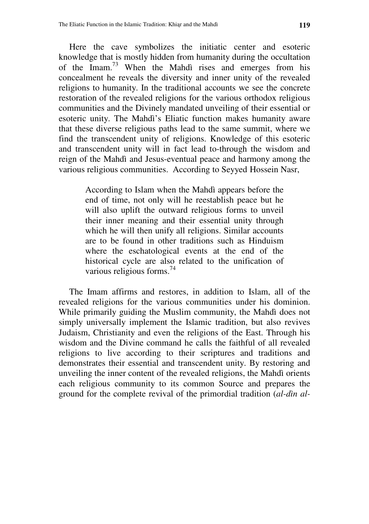Here the cave symbolizes the initiatic center and esoteric knowledge that is mostly hidden from humanity during the occultation of the Imam.<sup>73</sup> When the Mahdì rises and emerges from his concealment he reveals the diversity and inner unity of the revealed religions to humanity. In the traditional accounts we see the concrete restoration of the revealed religions for the various orthodox religious communities and the Divinely mandated unveiling of their essential or esoteric unity. The Mahdì's Eliatic function makes humanity aware that these diverse religious paths lead to the same summit, where we find the transcendent unity of religions. Knowledge of this esoteric and transcendent unity will in fact lead to-through the wisdom and reign of the Mahdì and Jesus-eventual peace and harmony among the various religious communities. According to Seyyed Hossein Nasr,

> According to Islam when the Mahdì appears before the end of time, not only will he reestablish peace but he will also uplift the outward religious forms to unveil their inner meaning and their essential unity through which he will then unify all religions. Similar accounts are to be found in other traditions such as Hinduism where the eschatological events at the end of the historical cycle are also related to the unification of various religious forms.<sup>74</sup>

The Imam affirms and restores, in addition to Islam, all of the revealed religions for the various communities under his dominion. While primarily guiding the Muslim community, the Mahdì does not simply universally implement the Islamic tradition, but also revives Judaism, Christianity and even the religions of the East. Through his wisdom and the Divine command he calls the faithful of all revealed religions to live according to their scriptures and traditions and demonstrates their essential and transcendent unity. By restoring and unveiling the inner content of the revealed religions, the Mahdì orients each religious community to its common Source and prepares the ground for the complete revival of the primordial tradition (*al-dìn al-*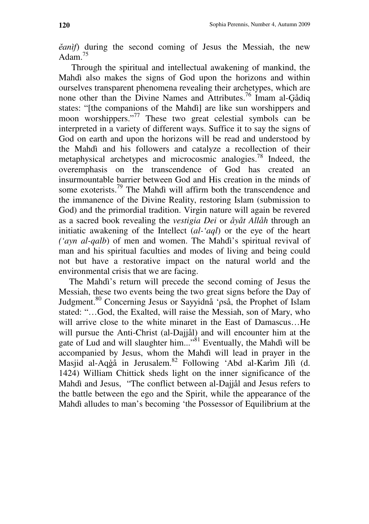ĕ*anìf*) during the second coming of Jesus the Messiah, the new Adam.<sup>75</sup>

 Through the spiritual and intellectual awakening of mankind, the Mahdì also makes the signs of God upon the horizons and within ourselves transparent phenomena revealing their archetypes, which are none other than the Divine Names and Attributes.<sup>76</sup> Imam al-Ģådiq states: "[the companions of the Mahdì] are like sun worshippers and moon worshippers."<sup>77</sup> These two great celestial symbols can be interpreted in a variety of different ways. Suffice it to say the signs of God on earth and upon the horizons will be read and understood by the Mahdì and his followers and catalyze a recollection of their metaphysical archetypes and microcosmic analogies.<sup>78</sup> Indeed, the overemphasis on the transcendence of God has created an insurmountable barrier between God and His creation in the minds of some exoterists.<sup>79</sup> The Mahdì will affirm both the transcendence and the immanence of the Divine Reality, restoring Islam (submission to God) and the primordial tradition. Virgin nature will again be revered as a sacred book revealing the *vestigia Dei* or *åyåt Allåh* through an initiatic awakening of the Intellect (*al-'aql*) or the eye of the heart *('ayn al-qalb*) of men and women. The Mahdì's spiritual revival of man and his spiritual faculties and modes of living and being could not but have a restorative impact on the natural world and the environmental crisis that we are facing.

The Mahdì's return will precede the second coming of Jesus the Messiah, these two events being the two great signs before the Day of Judgment.<sup>80</sup> Concerning Jesus or Sayyidnå 'pså, the Prophet of Islam stated: "…God, the Exalted, will raise the Messiah, son of Mary, who will arrive close to the white minaret in the East of Damascus…He will pursue the Anti-Christ (al-Dajjål) and will encounter him at the gate of Lud and will slaughter him..."<sup>81</sup> Eventually, the Mahdì will be accompanied by Jesus, whom the Mahdì will lead in prayer in the Masjid al-Aqģå in Jerusalem.<sup>82</sup> Following 'Abd al-Karìm Jìlì (d. 1424) William Chittick sheds light on the inner significance of the Mahdì and Jesus, "The conflict between al-Dajjål and Jesus refers to the battle between the ego and the Spirit, while the appearance of the Mahdì alludes to man's becoming 'the Possessor of Equilibrium at the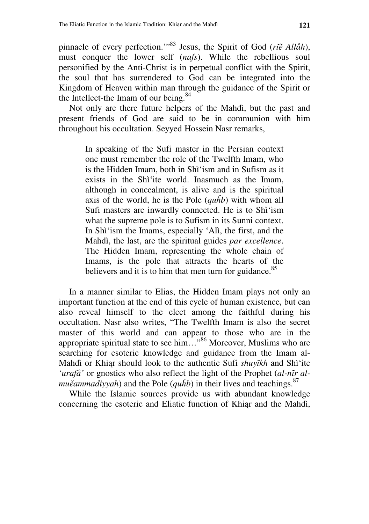pinnacle of every perfection.'"<sup>83</sup> Jesus, the Spirit of God (*r*ĩĕ *Allåh*), must conquer the lower self (*nafs*). While the rebellious soul personified by the Anti-Christ is in perpetual conflict with the Spirit, the soul that has surrendered to God can be integrated into the Kingdom of Heaven within man through the guidance of the Spirit or the Intellect-the Imam of our being.<sup>84</sup>

Not only are there future helpers of the Mahdì, but the past and present friends of God are said to be in communion with him throughout his occultation. Seyyed Hossein Nasr remarks,

> In speaking of the Sufi master in the Persian context one must remember the role of the Twelfth Imam, who is the Hidden Imam, both in Shì'ism and in Sufism as it exists in the Shì'ite world. Inasmuch as the Imam, although in concealment, is alive and is the spiritual axis of the world, he is the Pole (*qu*ĥ*b*) with whom all Sufi masters are inwardly connected. He is to Shì'ism what the supreme pole is to Sufism in its Sunni context. In Shì'ism the Imams, especially 'Alì, the first, and the Mahdì, the last, are the spiritual guides *par excellence*. The Hidden Imam, representing the whole chain of Imams, is the pole that attracts the hearts of the believers and it is to him that men turn for guidance. $85$

In a manner similar to Elias, the Hidden Imam plays not only an important function at the end of this cycle of human existence, but can also reveal himself to the elect among the faithful during his occultation. Nasr also writes, "The Twelfth Imam is also the secret master of this world and can appear to those who are in the appropriate spiritual state to see him..."<sup>86</sup> Moreover, Muslims who are searching for esoteric knowledge and guidance from the Imam al-Mahdì or Khiąr should look to the authentic Sufi *shuy*ĩ*kh* and Shì'ite *'urafå'* or gnostics who also reflect the light of the Prophet (*al-n*ĩ*r almuĕammadiyyah*) and the Pole (*quĥb*) in their lives and teachings.<sup>87</sup>

While the Islamic sources provide us with abundant knowledge concerning the esoteric and Eliatic function of Khiąr and the Mahdì,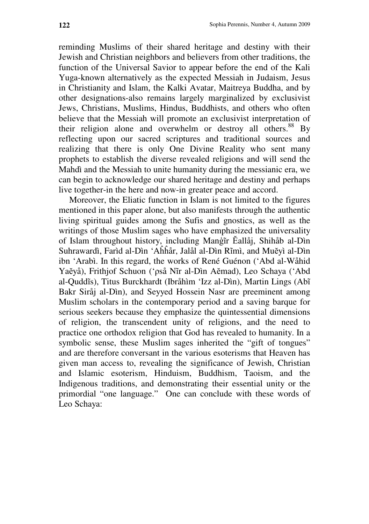reminding Muslims of their shared heritage and destiny with their Jewish and Christian neighbors and believers from other traditions, the function of the Universal Savior to appear before the end of the Kali Yuga-known alternatively as the expected Messiah in Judaism, Jesus in Christianity and Islam, the Kalki Avatar, Maitreya Buddha, and by other designations-also remains largely marginalized by exclusivist Jews, Christians, Muslims, Hindus, Buddhists, and others who often believe that the Messiah will promote an exclusivist interpretation of their religion alone and overwhelm or destroy all others.<sup>88</sup> By reflecting upon our sacred scriptures and traditional sources and realizing that there is only One Divine Reality who sent many prophets to establish the diverse revealed religions and will send the Mahdì and the Messiah to unite humanity during the messianic era, we can begin to acknowledge our shared heritage and destiny and perhaps live together-in the here and now-in greater peace and accord.

Moreover, the Eliatic function in Islam is not limited to the figures mentioned in this paper alone, but also manifests through the authentic living spiritual guides among the Sufis and gnostics, as well as the writings of those Muslim sages who have emphasized the universality of Islam throughout history, including Manģĩr Ĕallåj, Shihåb al-Dìn Suhrawardì, Farìd al-Dìn 'Aĥĥår, Jalål al-Dìn Rĩmì, and Muĕyì al-Dìn ibn 'Arabì. In this regard, the works of René Guénon ('Abd al-Wåhid Yaĕyå), Frithjof Schuon ('ρså Nĩr al-Dìn Aĕmad), Leo Schaya ('Abd al-Quddĩs), Titus Burckhardt (Ibråhìm 'Izz al-Dìn), Martin Lings (Abĩ Bakr Siråj al-Dìn), and Seyyed Hossein Nasr are preeminent among Muslim scholars in the contemporary period and a saving barque for serious seekers because they emphasize the quintessential dimensions of religion, the transcendent unity of religions, and the need to practice one orthodox religion that God has revealed to humanity. In a symbolic sense, these Muslim sages inherited the "gift of tongues" and are therefore conversant in the various esoterisms that Heaven has given man access to, revealing the significance of Jewish, Christian and Islamic esoterism, Hinduism, Buddhism, Taoism, and the Indigenous traditions, and demonstrating their essential unity or the primordial "one language." One can conclude with these words of Leo Schaya: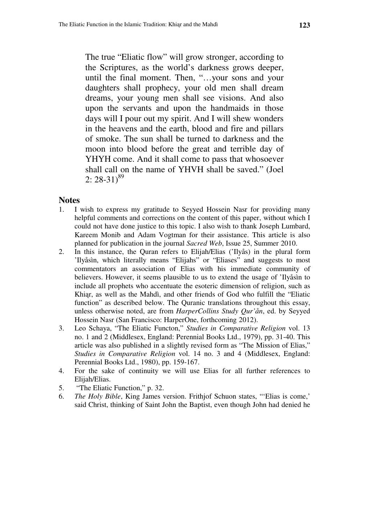The true "Eliatic flow" will grow stronger, according to the Scriptures, as the world's darkness grows deeper, until the final moment. Then, "…your sons and your daughters shall prophecy, your old men shall dream dreams, your young men shall see visions. And also upon the servants and upon the handmaids in those days will I pour out my spirit. And I will shew wonders in the heavens and the earth, blood and fire and pillars of smoke. The sun shall be turned to darkness and the moon into blood before the great and terrible day of YHYH come. And it shall come to pass that whosoever shall call on the name of YHVH shall be saved." (Joel  $2: 28-31<sup>89</sup>$ 

## **Notes**

- 1. I wish to express my gratitude to Seyyed Hossein Nasr for providing many helpful comments and corrections on the content of this paper, without which I could not have done justice to this topic. I also wish to thank Joseph Lumbard, Kareem Monib and Adam Vogtman for their assistance. This article is also planned for publication in the journal *Sacred Web*, Issue 25, Summer 2010.
- 2. In this instance, the Quran refers to Elijah/Elias ('Ilyås) in the plural form 'Ilyåsìn, which literally means "Elijahs" or "Eliases" and suggests to most commentators an association of Elias with his immediate community of believers. However, it seems plausible to us to extend the usage of 'Ilyåsìn to include all prophets who accentuate the esoteric dimension of religion, such as Khiąr, as well as the Mahdì, and other friends of God who fulfill the "Eliatic function" as described below. The Quranic translations throughout this essay, unless otherwise noted, are from *HarperCollins Study Qur'ån*, ed. by Seyyed Hossein Nasr (San Francisco: HarperOne, forthcoming 2012).
- 3. Leo Schaya, "The Eliatic Functon," *Studies in Comparative Religion* vol. 13 no. 1 and 2 (Middlesex, England: Perennial Books Ltd., 1979), pp. 31-40. This article was also published in a slightly revised form as "The Mission of Elias," *Studies in Comparative Religion* vol. 14 no. 3 and 4 (Middlesex, England: Perennial Books Ltd., 1980), pp. 159-167.
- 4. For the sake of continuity we will use Elias for all further references to Elijah/Elias.
- 5. "The Eliatic Function," p. 32.
- 6. *The Holy Bible*, King James version. Frithjof Schuon states, "'Elias is come,' said Christ, thinking of Saint John the Baptist, even though John had denied he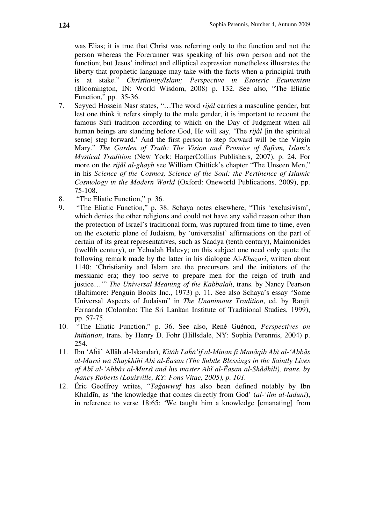was Elias; it is true that Christ was referring only to the function and not the person whereas the Forerunner was speaking of his own person and not the function; but Jesus' indirect and elliptical expression nonetheless illustrates the liberty that prophetic language may take with the facts when a principial truth is at stake." *Christianity/Islam; Perspective in Esoteric Ecumenism* (Bloomington, IN: World Wisdom, 2008) p. 132. See also, "The Eliatic Function," pp. 35-36.

- 7. Seyyed Hossein Nasr states, "…The word *rijål* carries a masculine gender, but lest one think it refers simply to the male gender, it is important to recount the famous Sufi tradition according to which on the Day of Judgment when all human beings are standing before God, He will say, 'The *rijål* [in the spiritual sense] step forward.' And the first person to step forward will be the Virgin Mary." *The Garden of Truth: The Vision and Promise of Sufism, Islam's Mystical Tradition* (New York: HarperCollins Publishers, 2007), p. 24. For more on the *rijål al-ghayb* see William Chittick's chapter "The Unseen Men," in his *Science of the Cosmos, Science of the Soul: the Pertinence of Islamic Cosmology in the Modern World* (Oxford: Oneworld Publications, 2009), pp. 75-108.
- 8. "The Eliatic Function," p. 36.
- 9. "The Eliatic Function," p. 38. Schaya notes elsewhere, "This 'exclusivism', which denies the other religions and could not have any valid reason other than the protection of Israel's traditional form, was ruptured from time to time, even on the exoteric plane of Judaism, by 'universalist' affirmations on the part of certain of its great representatives, such as Saadya (tenth century), Maimonides (twelfth century), or Yehudah Halevy; on this subject one need only quote the following remark made by the latter in his dialogue Al-*Khazarì*, written about 1140: 'Christianity and Islam are the precursors and the initiators of the messianic era; they too serve to prepare men for the reign of truth and justice…'" *The Universal Meaning of the Kabbalah*, trans. by Nancy Pearson (Baltimore: Penguin Books Inc., 1973) p. 11. See also Schaya's essay "Some Universal Aspects of Judaism" in *The Unanimous Tradition*, ed. by Ranjit Fernando (Colombo: The Sri Lankan Institute of Traditional Studies, 1999), pp. 57-75.
- 10. "The Eliatic Function," p. 36. See also, René Guénon, *Perspectives on Initiation*, trans. by Henry D. Fohr (Hillsdale, NY: Sophia Perennis, 2004) p. 254.
- 11. Ibn 'Aĥå' Allåh al-Iskandarì, *Kitåb La*ĥ*å'if al-Minan fi Manåqib Abì al-'Abbås al-Mursì wa Shaykhihi Abì al-*Ĕ*asan (The Subtle Blessings in the Saintly Lives of Ab*ĩ *al-'Abbås al-Mursì and his master Ab*ĩ *al-*Ĕ*asan al-Shådhilì), trans. by Nancy Roberts (Louisville, KY: Fons Vitae, 2005), p. 101.*
- 12. Éric Geoffroy writes, "*Ta*ģ*awwuf* has also been defined notably by Ibn Khaldĩn, as 'the knowledge that comes directly from God' (*al-'ilm al-ladunì*), in reference to verse 18:65: 'We taught him a knowledge [emanating] from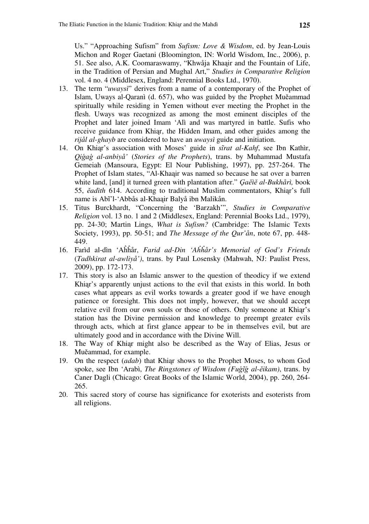Us." "Approaching Sufism" from *Sufism: Love & Wisdom*, ed. by Jean-Louis Michon and Roger Gaetani (Bloomington, IN: World Wisdom, Inc., 2006), p. 51. See also, A.K. Coomaraswamy, "Khwåja Khaąir and the Fountain of Life, in the Tradition of Persian and Mughal Art," *Studies in Comparative Religion*  vol. 4 no. 4 (Middlesex, England: Perennial Books Ltd., 1970).

- 13. The term "*uwaysì*" derives from a name of a contemporary of the Prophet of Islam, Uways al-Qaranì (d. 657), who was guided by the Prophet Muĕammad spiritually while residing in Yemen without ever meeting the Prophet in the flesh. Uways was recognized as among the most eminent disciples of the Prophet and later joined Imam 'Alì and was martyred in battle. Sufis who receive guidance from Khiąr, the Hidden Imam, and other guides among the *rijål al-ghayb* are considered to have an *uwaysì* guide and initiation.
- 14. On Khiąr's association with Moses' guide in *s*ĩ*rat al-Kahf*, see Ibn Kathìr, *Qi*ģ*a*ģ *al-anbiyå'* (*Stories of the Prophets*), trans. by Muhammad Mustafa Gemeiah (Mansoura, Egypt: El Nour Publishing, 1997), pp. 257-264. The Prophet of Islam states, "Al-Khaąir was named so because he sat over a barren white land, [and] it turned green with plantation after." Ģ*a*ĕ*ì*ĕ *al-Bukhårì,* book 55, ĕ*adìth* 614. According to traditional Muslim commentators, Khiąr's full name is Abĩ'l-'Abbås al-Khaąir Balyå ibn Malikån.
- 15. Titus Burckhardt, "Concerning the 'Barzakh'", *Studies in Comparative Religion* vol. 13 no. 1 and 2 (Middlesex, England: Perennial Books Ltd., 1979), pp. 24-30; Martin Lings, *What is Sufism?* (Cambridge: The Islamic Texts Society, 1993), pp. 50-51; and *The Message of the Qur'ån*, note 67, pp. 448- 449.
- 16. Farìd al-dìn 'Aĥĥår, *Farid ad-Din 'A*ĥĥ*år's Memorial of God's Friends* (*Tadhkirat al-awliyå')*, trans. by Paul Losensky (Mahwah, NJ: Paulist Press, 2009), pp. 172-173.
- 17. This story is also an Islamic answer to the question of theodicy if we extend Khiąr's apparently unjust actions to the evil that exists in this world. In both cases what appears as evil works towards a greater good if we have enough patience or foresight. This does not imply, however, that we should accept relative evil from our own souls or those of others. Only someone at Khiąr's station has the Divine permission and knowledge to preempt greater evils through acts, which at first glance appear to be in themselves evil, but are ultimately good and in accordance with the Divine Will.
- 18. The Way of Khiąr might also be described as the Way of Elias, Jesus or Muĕammad, for example.
- 19. On the respect (*adab*) that Khiąr shows to the Prophet Moses, to whom God spoke, see Ibn 'Arabì, *The Ringstones of Wisdom (Fu*ģĩģ *al-*ĕ*ikam)*, trans. by Caner Dagli (Chicago: Great Books of the Islamic World, 2004), pp. 260, 264- 265.
- 20. This sacred story of course has significance for exoterists and esoterists from all religions.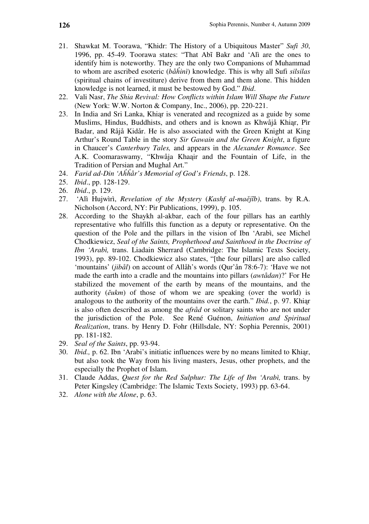- 21. Shawkat M. Toorawa, "Khidr: The History of a Ubiquitous Master" *Sufi 30*, 1996, pp. 45-49. Toorawa states: "That Abĩ Bakr and 'Alì are the ones to identify him is noteworthy. They are the only two Companions of Muhammad to whom are ascribed esoteric (*bå*ĥ*inì*) knowledge. This is why all Sufi *silsilas* (spiritual chains of investiture) derive from them and them alone. This hidden knowledge is not learned, it must be bestowed by God." *Ibid*.
- 22. Vali Nasr, *The Shia Revival: How Conflicts within Islam Will Shape the Future* (New York: W.W. Norton & Company, Inc., 2006), pp. 220-221.
- 23. In India and Sri Lanka, Khiąr is venerated and recognized as a guide by some Muslims, Hindus, Buddhists, and others and is known as Khwåjå Khiąr, Pìr Badar, and Råjå Kidår. He is also associated with the Green Knight at King Arthur's Round Table in the story *Sir Gawain and the Green Knight*, a figure in Chaucer's *Canterbury Tales,* and appears in the *Alexander Romance*. See A.K. Coomaraswamy, "Khwåja Khaąir and the Fountain of Life, in the Tradition of Persian and Mughal Art."
- 24. *Farid ad-Din 'A*ĥĥ*år's Memorial of God's Friends*, p. 128.
- 25. *Ibid*., pp. 128-129.
- 26. *Ibid*., p. 129.
- 27. 'Alì Hujwìrì, *Revelation of the Mystery* (*Kashf al-ma*ĕ*j*ĩ*b)*, trans. by R.A. Nicholson (Accord, NY: Pir Publications, 1999), p. 105.
- 28. According to the Shaykh al-akbar, each of the four pillars has an earthly representative who fulfills this function as a deputy or representative. On the question of the Pole and the pillars in the vision of Ibn 'Arabì, see Michel Chodkiewicz, *Seal of the Saints, Prophethood and Sainthood in the Doctrine of Ibn 'Arabì,* trans. Liadain Sherrard (Cambridge: The Islamic Texts Society, 1993), pp. 89-102. Chodkiewicz also states, "[the four pillars] are also called 'mountains' (*jibål*) on account of Allåh's words (Qur'ån 78:6-7): 'Have we not made the earth into a cradle and the mountains into pillars (*awtådan*)?' For He stabilized the movement of the earth by means of the mountains, and the authority (ĕ*ukm*) of those of whom we are speaking (over the world) is analogous to the authority of the mountains over the earth." *Ibid.*, p. 97. Khiąr is also often described as among the *afråd* or solitary saints who are not under the jurisdiction of the Pole. See René Guénon, *Initiation and Spiritual Realization*, trans. by Henry D. Fohr (Hillsdale, NY: Sophia Perennis, 2001) pp. 181-182.
- 29. *Seal of the Saints*, pp. 93-94.
- 30. *Ibid.,* p. 62. Ibn 'Arabi's initiatic influences were by no means limited to Khiąr, but also took the Way from his living masters, Jesus, other prophets, and the especially the Prophet of Islam.
- 31. Claude Addas, *Quest for the Red Sulphur: The Life of Ibn 'Arabì,* trans. by Peter Kingsley (Cambridge: The Islamic Texts Society, 1993) pp. 63-64.
- 32. *Alone with the Alone*, p. 63.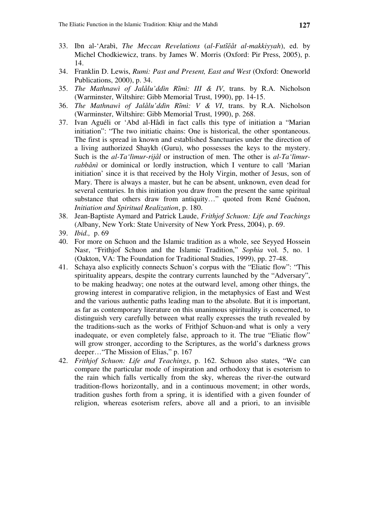- 33. Ibn al-'Arabì, *The Meccan Revelations* (*al-Fut*ĩĕ*åt al-makkiyyah*), ed. by Michel Chodkiewicz, trans. by James W. Morris (Oxford: Pir Press, 2005), p. 14.
- 34. Franklin D. Lewis, *Rumi: Past and Present, East and West* (Oxford: Oneworld Publications, 2000), p. 34.
- 35. *The Mathnawì of Jalålu'ddìn R*ĩ*mì: III & IV*, trans. by R.A. Nicholson (Warminster, Wiltshire: Gibb Memorial Trust, 1990), pp. 14-15.
- 36. *The Mathnawì of Jalålu'ddìn R*ĩ*mì: V & VI*, trans. by R.A. Nicholson (Warminster, Wiltshire: Gibb Memorial Trust, 1990), p. 268.
- 37. Ivan Aguéli or 'Abd al-Hådì in fact calls this type of initiation a "Marian initiation": "The two initiatic chains: One is historical, the other spontaneous. The first is spread in known and established Sanctuaries under the direction of a living authorized Shaykh (Guru), who possesses the keys to the mystery. Such is the *al-Ta'lìmur-rijål* or instruction of men. The other is *al-Ta'lìmurrabbånì* or dominical or lordly instruction, which I venture to call 'Marian initiation' since it is that received by the Holy Virgin, mother of Jesus, son of Mary. There is always a master, but he can be absent, unknown, even dead for several centuries. In this initiation you draw from the present the same spiritual substance that others draw from antiquity…" quoted from René Guénon, *Initiation and Spiritual Realization*, p. 180.
- 38. Jean-Baptiste Aymard and Patrick Laude, *Frithjof Schuon: Life and Teachings* (Albany, New York: State University of New York Press, 2004), p. 69.
- 39. *Ibid.,* p. 69
- 40. For more on Schuon and the Islamic tradition as a whole, see Seyyed Hossein Nasr, "Frithjof Schuon and the Islamic Tradition," *Sophia* vol. 5, no. 1 (Oakton, VA: The Foundation for Traditional Studies, 1999), pp. 27-48.
- 41. Schaya also explicitly connects Schuon's corpus with the "Eliatic flow": "This spirituality appears, despite the contrary currents launched by the "Adversary", to be making headway; one notes at the outward level, among other things, the growing interest in comparative religion, in the metaphysics of East and West and the various authentic paths leading man to the absolute. But it is important, as far as contemporary literature on this unanimous spirituality is concerned, to distinguish very carefully between what really expresses the truth revealed by the traditions-such as the works of Frithjof Schuon-and what is only a very inadequate, or even completely false, approach to it. The true "Eliatic flow" will grow stronger, according to the Scriptures, as the world's darkness grows deeper…"The Mission of Elias," p. 167
- 42. *Frithjof Schuon: Life and Teachings*, p. 162. Schuon also states, "We can compare the particular mode of inspiration and orthodoxy that is esoterism to the rain which falls vertically from the sky, whereas the river-the outward tradition-flows horizontally, and in a continuous movement; in other words, tradition gushes forth from a spring, it is identified with a given founder of religion, whereas esoterism refers, above all and a priori, to an invisible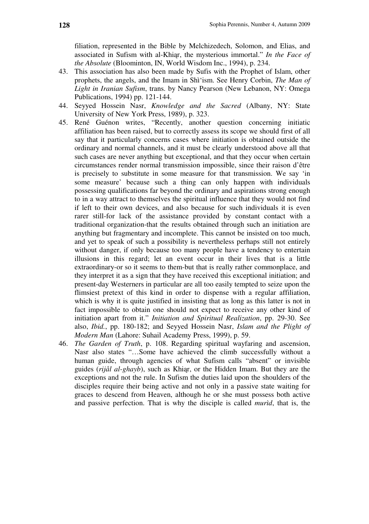filiation, represented in the Bible by Melchizedech, Solomon, and Elias, and associated in Sufism with al-Khiąr, the mysterious immortal." *In the Face of the Absolute* (Bloominton, IN, World Wisdom Inc., 1994), p. 234.

- 43. This association has also been made by Sufis with the Prophet of Islam, other prophets, the angels, and the Imam in Shì'ism. See Henry Corbin, *The Man of Light in Iranian Sufism*, trans. by Nancy Pearson (New Lebanon, NY: Omega Publications, 1994) pp. 121-144.
- 44. Seyyed Hossein Nasr, *Knowledge and the Sacred* (Albany, NY: State University of New York Press, 1989), p. 323.
- 45. René Guénon writes, "Recently, another question concerning initiatic affiliation has been raised, but to correctly assess its scope we should first of all say that it particularly concerns cases where initiation is obtained outside the ordinary and normal channels, and it must be clearly understood above all that such cases are never anything but exceptional, and that they occur when certain circumstances render normal transmission impossible, since their raison d'être is precisely to substitute in some measure for that transmission. We say 'in some measure' because such a thing can only happen with individuals possessing qualifications far beyond the ordinary and aspirations strong enough to in a way attract to themselves the spiritual influence that they would not find if left to their own devices, and also because for such individuals it is even rarer still-for lack of the assistance provided by constant contact with a traditional organization-that the results obtained through such an initiation are anything but fragmentary and incomplete. This cannot be insisted on too much, and yet to speak of such a possibility is nevertheless perhaps still not entirely without danger, if only because too many people have a tendency to entertain illusions in this regard; let an event occur in their lives that is a little extraordinary-or so it seems to them-but that is really rather commonplace, and they interpret it as a sign that they have received this exceptional initiation; and present-day Westerners in particular are all too easily tempted to seize upon the flimsiest pretext of this kind in order to dispense with a regular affiliation, which is why it is quite justified in insisting that as long as this latter is not in fact impossible to obtain one should not expect to receive any other kind of initiation apart from it." *Initiation and Spiritual Realization*, pp. 29-30. See also, *Ibid.*, pp. 180-182; and Seyyed Hossein Nasr, *Islam and the Plight of Modern Man* (Lahore: Suhail Academy Press, 1999), p. 59.
- 46. *The Garden of Truth*, p. 108. Regarding spiritual wayfaring and ascension, Nasr also states "…Some have achieved the climb successfully without a human guide, through agencies of what Sufism calls "absent" or invisible guides (*rijål al-ghayb*), such as Khiąr, or the Hidden Imam. But they are the exceptions and not the rule. In Sufism the duties laid upon the shoulders of the disciples require their being active and not only in a passive state waiting for graces to descend from Heaven, although he or she must possess both active and passive perfection. That is why the disciple is called *murìd*, that is, the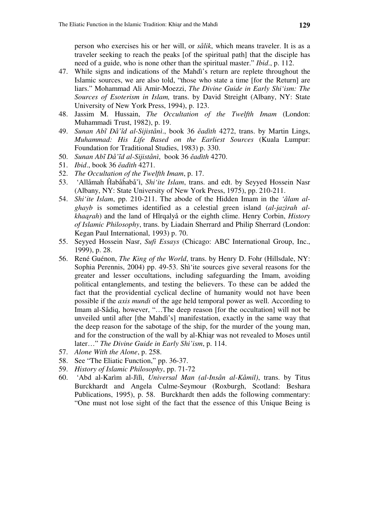person who exercises his or her will, or *sålik*, which means traveler. It is as a traveler seeking to reach the peaks [of the spiritual path] that the disciple has need of a guide, who is none other than the spiritual master." *Ibid*., p. 112.

- 47. While signs and indications of the Mahdì's return are replete throughout the Islamic sources, we are also told, "those who state a time [for the Return] are liars." Mohammad Ali Amir-Moezzi, *The Divine Guide in Early Shi'ism: The Sources of Esoterism in Islam,* trans. by David Streight (Albany, NY: State University of New York Press, 1994), p. 123.
- 48. Jassim M. Hussain, *The Occultation of the Twelfth Imam* (London: Muhammadi Trust, 1982), p. 19.
- 49. *Sunan Ab*ĩ *Då'*ĩ*d al-Sijistånì*., book 36 ĕ*adìth* 4272, trans. by Martin Lings, *Muhammad: His Life Based on the Earliest Sources* (Kuala Lumpur: Foundation for Traditional Studies, 1983) p. 330.
- 50. *Sunan Ab*ĩ *Då'*ĩ*d al-Sijistånì*, book 36 ĕ*adìth* 4270.
- 51. *Ibid*., book 36 ĕ*adìth* 4271.
- 52. *The Occultation of the Twelfth Imam*, p. 17.
- 53. 'Allåmah Ĥabåĥabå'ì, *Shi'ite Islam*, trans. and edt. by Seyyed Hossein Nasr (Albany, NY: State University of New York Press, 1975), pp. 210-211.
- 54. *Shi'ite Islam*, pp. 210-211. The abode of the Hidden Imam in the *'ålam alghayb* is sometimes identified as a celestial green island (*al-jazìrah alkha*ą*rah*) and the land of Hĩrqalyå or the eighth clime. Henry Corbin, *History of Islamic Philosophy*, trans. by Liadain Sherrard and Philip Sherrard (London: Kegan Paul International, 1993) p. 70.
- 55. Seyyed Hossein Nasr, *Sufi Essays* (Chicago: ABC International Group, Inc., 1999), p. 28.
- 56. René Guénon, *The King of the World*, trans. by Henry D. Fohr (Hillsdale, NY: Sophia Perennis, 2004) pp. 49-53. Shì'ite sources give several reasons for the greater and lesser occultations, including safeguarding the Imam, avoiding political entanglements, and testing the believers. To these can be added the fact that the providential cyclical decline of humanity would not have been possible if the *axis mundi* of the age held temporal power as well. According to Imam al-Sådiq, however, "…The deep reason [for the occultation] will not be unveiled until after [the Mahdì's] manifestation, exactly in the same way that the deep reason for the sabotage of the ship, for the murder of the young man, and for the construction of the wall by al-Khiąr was not revealed to Moses until later…" *The Divine Guide in Early Shi'ism*, p. 114.
- 57. *Alone With the Alone*, p. 258.
- 58. See "The Eliatic Function," pp. 36-37.
- 59. *History of Islamic Philosophy*, pp. 71-72
- 60. 'Abd al-Karìm al-Jìlì, *Universal Man (al-Insån al-Kåmil)*, trans. by Titus Burckhardt and Angela Culme-Seymour (Roxburgh, Scotland: Beshara Publications, 1995), p. 58. Burckhardt then adds the following commentary: "One must not lose sight of the fact that the essence of this Unique Being is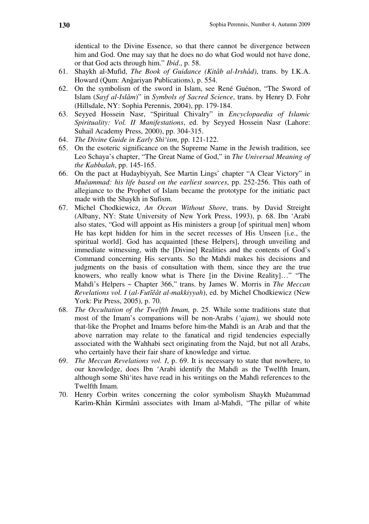identical to the Divine Essence, so that there cannot be divergence between him and God. One may say that he does no do what God would not have done, or that God acts through him." *Ibid*., p. 58.

- 61. Shaykh al-Mufìd, *The Book of Guidance (Kitåb al-Irshåd)*, trans. by I.K.A. Howard (Qum: Anģariyan Publications), p. 554.
- 62. On the symbolism of the sword in Islam, see René Guénon, "The Sword of Islam (*Sayf al-Islåm*)" in *Symbols of Sacred Science*, trans. by Henry D. Fohr (Hillsdale, NY: Sophia Perennis, 2004), pp. 179-184.
- 63. Seyyed Hossein Nasr, "Spiritual Chivalry" in *Encyclopaedia of Islamic Spirituality: Vol. II Manifestations*, ed. by Seyyed Hossein Nasr (Lahore: Suhail Academy Press, 2000), pp. 304-315.
- 64. *The Divine Guide in Early Shì'ism*, pp. 121-122.
- 65. On the esoteric significance on the Supreme Name in the Jewish tradition, see Leo Schaya's chapter, "The Great Name of God," in *The Universal Meaning of the Kabbalah*, pp. 145-165.
- 66. On the pact at Hudaybiyyah, See Martin Lings' chapter "A Clear Victory" in *Mu*ĕ*ammad: his life based on the earliest sources*, pp. 252-256. This oath of allegiance to the Prophet of Islam became the prototype for the initiatic pact made with the Shaykh in Sufism.
- 67. Michel Chodkiewicz, *An Ocean Without Shore*, trans. by David Streight (Albany, NY: State University of New York Press, 1993), p. 68. Ibn 'Arabì also states, "God will appoint as His ministers a group [of spiritual men] whom He has kept hidden for him in the secret recesses of His Unseen [i.e., the spiritual world]. God has acquainted [these Helpers], through unveiling and immediate witnessing, with the [Divine] Realities and the contents of God's Command concerning His servants. So the Mahdi makes his decisions and judgments on the basis of consultation with them, since they are the true knowers, who really know what is There [in the Divine Reality]…" "The Mahdì's Helpers ~ Chapter 366," trans. by James W. Morris in *The Meccan Revelations vol. I* (*al-Fut*ĩĕ*åt al-makkiyyah*), ed. by Michel Chodkiewicz (New York: Pir Press, 2005), p. 70.
- 68. *The Occultation of the Twelfth Imam,* p. 25. While some traditions state that most of the Imam's companions will be non-Arabs (*'ajam),* we should note that-like the Prophet and Imams before him-the Mahdì is an Arab and that the above narration may relate to the fanatical and rigid tendencies especially associated with the Wahhabi sect originating from the Najd, but not all Arabs, who certainly have their fair share of knowledge and virtue*.*
- 69. *The Meccan Revelations vol. I*, p. 69. It is necessary to state that nowhere, to our knowledge, does Ibn 'Arabì identify the Mahdì as the Twelfth Imam, although some Shì'ites have read in his writings on the Mahdì references to the Twelfth Imam.
- 70. Henry Corbin writes concerning the color symbolism Shaykh Muĕammad Karìm-Khån Kirmånì associates with Imam al-Mahdì, "The pillar of white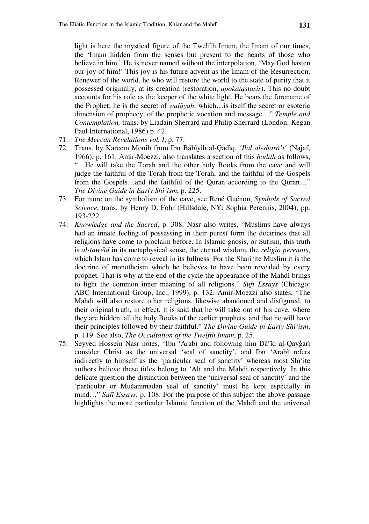light is here the mystical figure of the Twelfth Imam, the Imam of our times, the 'Imam hidden from the senses but present to the hearts of those who believe in him.' He is never named without the interpolation, 'May God hasten our joy of him!' This joy is his future advent as the Imam of the Resurrection, Renewer of the world, he who will restore the world to the state of purity that it possessed originally, at its creation (restoration, *apokatastasis*). This no doubt accounts for his role as the keeper of the white light. He bears the forename of the Prophet; he is the secret of *walåyah*, which…is itself the secret or esoteric dimension of prophecy, of the prophetic vocation and message…" *Temple and Contemplation,* trans. by Liadain Sherrard and Philip Sherrard (London: Kegan Paul International, 1986) p. 42.

- 71. *The Meccan Revelations vol. I*, p. 77.
- 72. Trans. by Kareem Monib from Ibn Båbĩyih al-Ģadĩq, *'Ilal al-sharå'i'* (Najaf, 1966), p. 161. Amir-Moezzi, also translates a section of this *hadìth* as follows, "…He will take the Torah and the other holy Books from the cave and will judge the faithful of the Torah from the Torah, and the faithful of the Gospels from the Gospels…and the faithful of the Quran according to the Quran…" *The Divine Guide in Early Shì'ism*, p. 225.
- 73. For more on the symbolism of the cave, see René Guénon, *Symbols of Sacred Science*, trans. by Henry D. Fohr (Hillsdale, NY: Sophia Perennis, 2004), pp. 193-222.
- 74. *Knowledge and the Sacred*, p. 308. Nasr also writes, "Muslims have always had an innate feeling of possessing in their purest form the doctrines that all religions have come to proclaim before. In Islamic gnosis, or Sufism, this truth is *al-taw*ĕ*ìd* in its metaphysical sense, the eternal wisdom, the *religio perennis*, which Islam has come to reveal in its fullness. For the Sharì'ite Muslim it is the doctrine of monotheism which he believes to have been revealed by every prophet. That is why at the end of the cycle the appearance of the Mahdì brings to light the common inner meaning of all religions." *Sufi Essays* (Chicago: ABC International Group, Inc., 1999), p. 132. Amir-Moezzi also states, "The Mahdì will also restore other religions, likewise abandoned and disfigured, to their original truth, in effect, it is said that he will take out of his cave, where they are hidden, all the holy Books of the earlier prophets, and that he will have their principles followed by their faithful." *The Divine Guide in Early Shì'ism*, p. 119. See also, *The Occultation of the Twelfth Imam*, p. 25.
- 75. Seyyed Hossein Nasr notes, "Ibn 'Arabì and following him Då'ĩd al-Qayģarì consider Christ as the universal 'seal of sanctity', and Ibn 'Arabì refers indirectly to himself as the 'particular seal of sanctity' whereas most Shì'ite authors believe these titles belong to 'Alì and the Mahdì respectively. In this delicate question the distinction between the 'universal seal of sanctity' and the 'particular or Muĕammadan seal of sanctity' must be kept especially in mind…" *Sufi Essays*, p. 108. For the purpose of this subject the above passage highlights the more particular Islamic function of the Mahdì and the universal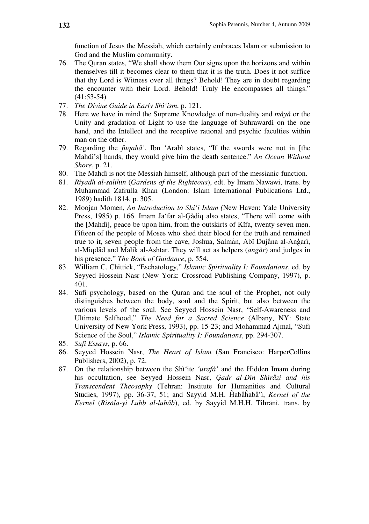function of Jesus the Messiah, which certainly embraces Islam or submission to God and the Muslim community.

- 76. The Quran states, "We shall show them Our signs upon the horizons and within themselves till it becomes clear to them that it is the truth. Does it not suffice that thy Lord is Witness over all things? Behold! They are in doubt regarding the encounter with their Lord. Behold! Truly He encompasses all things." (41:53-54)
- 77. *The Divine Guide in Early Shì'ism*, p. 121.
- 78. Here we have in mind the Supreme Knowledge of non-duality and *måyå* or the Unity and gradation of Light to use the language of Suhrawardì on the one hand, and the Intellect and the receptive rational and psychic faculties within man on the other.
- 79. Regarding the *fuqahå'*, Ibn 'Arabì states, "If the swords were not in [the Mahdì's] hands, they would give him the death sentence." *An Ocean Without Shore*, p. 21.
- 80. The Mahdì is not the Messiah himself, although part of the messianic function.
- 81. *Riyadh al-salihin* (*Gardens of the Righteous*), edt. by Imam Nawawi, trans. by Muhammad Zafrulla Khan (London: Islam International Publications Ltd., 1989) hadith 1814, p. 305.
- 82. Moojan Momen, *An Introduction to Shi'i Islam (*New Haven: Yale University Press, 1985) p. 166. Imam Ja'far al-Ģådiq also states, "There will come with the [Mahdì], peace be upon him, from the outskirts of Kĩfa, twenty-seven men. Fifteen of the people of Moses who shed their blood for the truth and remained true to it, seven people from the cave, Joshua, Salmån, Abĩ Dujåna al-Anģarì, al-Miqdåd and Målik al-Ashtar. They will act as helpers (*an*ģ*år*) and judges in his presence." *The Book of Guidance*, p. 554.
- 83. William C. Chittick, "Eschatology," *Islamic Spirituality I: Foundations*, ed. by Seyyed Hossein Nasr (New York: Crossroad Publishing Company, 1997), p. 401.
- 84. Sufi psychology, based on the Quran and the soul of the Prophet, not only distinguishes between the body, soul and the Spirit, but also between the various levels of the soul. See Seyyed Hossein Nasr, "Self-Awareness and Ultimate Selfhood," *The Need for a Sacred Science* (Albany, NY: State University of New York Press, 1993), pp. 15-23; and Mohammad Ajmal, "Sufi Science of the Soul," *Islamic Spirituality I: Foundations*, pp. 294-307.
- 85. *Sufi Essays*, p. 66.
- 86. Seyyed Hossein Nasr, *The Heart of Islam* (San Francisco: HarperCollins Publishers, 2002), p. 72.
- 87. On the relationship between the Shì'ite *'urafå'* and the Hidden Imam during his occultation, see Seyyed Hossein Nasr, Ģ*adr al-Dìn Shìråzì and his Transcendent Theosophy* (Tehran: Institute for Humanities and Cultural Studies, 1997), pp. 36-37, 51; and Sayyid M.H. Ĥabåĥabå'ì, *Kernel of the Kernel* (*Risåla-yi Lubb al-lubåb*), ed. by Sayyid M.H.H. Tihrånì, trans. by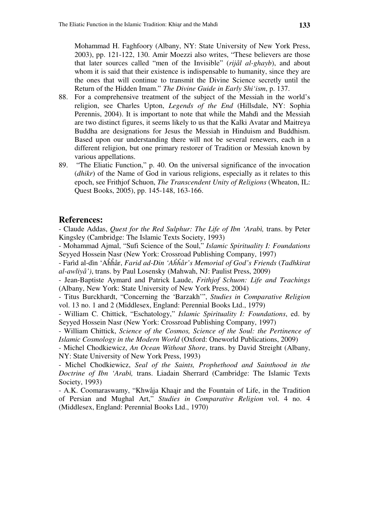Mohammad H. Faghfoory (Albany, NY: State University of New York Press, 2003), pp. 121-122, 130. Amir Moezzi also writes, "These believers are those that later sources called "men of the Invisible" (*rijål al-ghayb*), and about whom it is said that their existence is indispensable to humanity, since they are the ones that will continue to transmit the Divine Science secretly until the Return of the Hidden Imam." *The Divine Guide in Early Shi'ism*, p. 137.

- 88. For a comprehensive treatment of the subject of the Messiah in the world's religion, see Charles Upton, *Legends of the End* (Hillsdale, NY: Sophia Perennis, 2004). It is important to note that while the Mahdì and the Messiah are two distinct figures, it seems likely to us that the Kalki Avatar and Maitreya Buddha are designations for Jesus the Messiah in Hinduism and Buddhism. Based upon our understanding there will not be several renewers, each in a different religion, but one primary restorer of Tradition or Messiah known by various appellations.
- 89. "The Eliatic Function," p. 40. On the universal significance of the invocation (*dhikr*) of the Name of God in various religions, especially as it relates to this epoch, see Frithjof Schuon, *The Transcendent Unity of Religions* (Wheaton, IL: Quest Books, 2005), pp. 145-148, 163-166.

### **References:**

- Claude Addas, *Quest for the Red Sulphur: The Life of Ibn 'Arabì,* trans. by Peter Kingsley (Cambridge: The Islamic Texts Society, 1993)

- Mohammad Ajmal, "Sufi Science of the Soul," *Islamic Spirituality I: Foundations* Seyyed Hossein Nasr (New York: Crossroad Publishing Company, 1997)

- Farìd al-dìn 'Aĥĥår, *Farid ad-Din 'A*ĥĥ*år's Memorial of God's Friends* (*Tadhkirat al-awliyå')*, trans. by Paul Losensky (Mahwah, NJ: Paulist Press, 2009)

- Jean-Baptiste Aymard and Patrick Laude, *Frithjof Schuon: Life and Teachings* (Albany, New York: State University of New York Press, 2004)

- Titus Burckhardt, "Concerning the 'Barzakh'", *Studies in Comparative Religion*  vol. 13 no. 1 and 2 (Middlesex, England: Perennial Books Ltd., 1979)

- William C. Chittick, "Eschatology," *Islamic Spirituality I: Foundations*, ed. by Seyyed Hossein Nasr (New York: Crossroad Publishing Company, 1997)

- William Chittick, *Science of the Cosmos, Science of the Soul: the Pertinence of Islamic Cosmology in the Modern World* (Oxford: Oneworld Publications, 2009)

- Michel Chodkiewicz, *An Ocean Without Shore*, trans. by David Streight (Albany, NY: State University of New York Press, 1993)

- Michel Chodkiewicz, *Seal of the Saints, Prophethood and Sainthood in the Doctrine of Ibn 'Arabì,* trans. Liadain Sherrard (Cambridge: The Islamic Texts Society, 1993)

- A.K. Coomaraswamy, "Khwåja Khaąir and the Fountain of Life, in the Tradition of Persian and Mughal Art," *Studies in Comparative Religion* vol. 4 no. 4 (Middlesex, England: Perennial Books Ltd., 1970)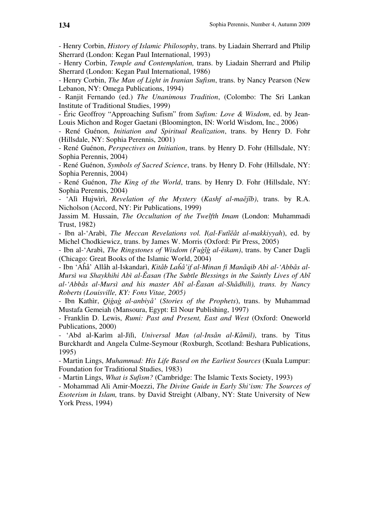- Henry Corbin, *History of Islamic Philosophy*, trans. by Liadain Sherrard and Philip Sherrard (London: Kegan Paul International, 1993)

- Henry Corbin, *Temple and Contemplation,* trans. by Liadain Sherrard and Philip Sherrard (London: Kegan Paul International, 1986)

- Henry Corbin, *The Man of Light in Iranian Sufism*, trans. by Nancy Pearson (New Lebanon, NY: Omega Publications, 1994)

- Ranjit Fernando (ed.) *The Unanimous Tradition*, (Colombo: The Sri Lankan Institute of Traditional Studies, 1999)

- Éric Geoffroy "Approaching Sufism" from *Sufism: Love & Wisdom*, ed. by Jean-Louis Michon and Roger Gaetani (Bloomington, IN: World Wisdom, Inc., 2006)

- René Guénon, *Initiation and Spiritual Realization*, trans. by Henry D. Fohr (Hillsdale, NY: Sophia Perennis, 2001)

- René Guénon, *Perspectives on Initiation*, trans. by Henry D. Fohr (Hillsdale, NY: Sophia Perennis, 2004)

- René Guénon, *Symbols of Sacred Science*, trans. by Henry D. Fohr (Hillsdale, NY: Sophia Perennis, 2004)

- René Guénon, *The King of the World*, trans. by Henry D. Fohr (Hillsdale, NY: Sophia Perennis, 2004)

- 'Alì Hujwìrì, *Revelation of the Mystery* (*Kashf al-ma*ĕ*j*ĩ*b)*, trans. by R.A. Nicholson (Accord, NY: Pir Publications, 1999)

Jassim M. Hussain, *The Occultation of the Twelfth Imam* (London: Muhammadi Trust, 1982)

- Ibn al-'Arabì, *The Meccan Revelations vol. I*(*al-Fut*ĩĕ*åt al-makkiyyah*), ed. by Michel Chodkiewicz, trans. by James W. Morris (Oxford: Pir Press, 2005)

- Ibn al-'Arabì, *The Ringstones of Wisdom (Fu*ģĩģ *al-*ĕ*ikam)*, trans. by Caner Dagli (Chicago: Great Books of the Islamic World, 2004)

- Ibn 'Aĥå' Allåh al-Iskandarì, *Kitåb La*ĥ*å'if al-Minan fi Manåqib Abì al-'Abbås al-Mursì wa Shaykhihi Abì al-*Ĕ*asan (The Subtle Blessings in the Saintly Lives of Ab*ĩ *al-'Abbås al-Mursì and his master Ab*ĩ *al-*Ĕ*asan al-Shådhilì), trans. by Nancy Roberts (Louisville, KY: Fons Vitae, 2005)* 

- Ibn Kathìr, *Qi*ģ*a*ģ *al-anbiyå'* (*Stories of the Prophets*), trans. by Muhammad Mustafa Gemeiah (Mansoura, Egypt: El Nour Publishing, 1997)

- Franklin D. Lewis, *Rumi: Past and Present, East and West* (Oxford: Oneworld Publications, 2000)

- 'Abd al-Karìm al-Jìlì, *Universal Man (al-Insån al-Kåmil)*, trans. by Titus Burckhardt and Angela Culme-Seymour (Roxburgh, Scotland: Beshara Publications, 1995)

- Martin Lings, *Muhammad: His Life Based on the Earliest Sources* (Kuala Lumpur: Foundation for Traditional Studies, 1983)

- Martin Lings, *What is Sufism?* (Cambridge: The Islamic Texts Society, 1993)

- Mohammad Ali Amir-Moezzi, *The Divine Guide in Early Shi'ism: The Sources of Esoterism in Islam,* trans. by David Streight (Albany, NY: State University of New York Press, 1994)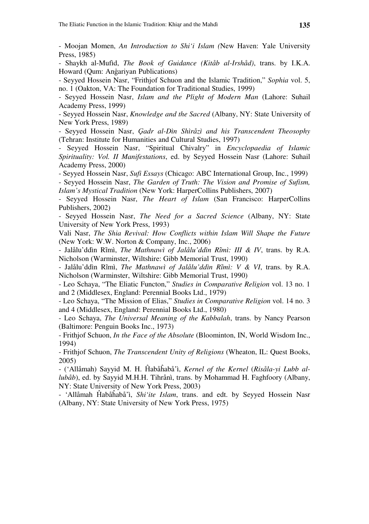- Moojan Momen, *An Introduction to Shi'i Islam (*New Haven: Yale University Press, 1985)

- Shaykh al-Mufìd, *The Book of Guidance (Kitåb al-Irshåd)*, trans. by I.K.A. Howard (Qum: Anģariyan Publications)

- Seyyed Hossein Nasr, "Frithjof Schuon and the Islamic Tradition," *Sophia* vol. 5, no. 1 (Oakton, VA: The Foundation for Traditional Studies, 1999)

- Seyyed Hossein Nasr, *Islam and the Plight of Modern Man* (Lahore: Suhail Academy Press, 1999)

- Seyyed Hossein Nasr, *Knowledge and the Sacred* (Albany, NY: State University of New York Press, 1989)

- Seyyed Hossein Nasr, Ģ*adr al-Dìn Shìråzì and his Transcendent Theosophy* (Tehran: Institute for Humanities and Cultural Studies, 1997)

- Seyyed Hossein Nasr, "Spiritual Chivalry" in *Encyclopaedia of Islamic Spirituality: Vol. II Manifestations*, ed. by Seyyed Hossein Nasr (Lahore: Suhail Academy Press, 2000)

- Seyyed Hossein Nasr, *Sufi Essays* (Chicago: ABC International Group, Inc., 1999)

- Seyyed Hossein Nasr, *The Garden of Truth: The Vision and Promise of Sufism, Islam's Mystical Tradition* (New York: HarperCollins Publishers, 2007)

- Seyyed Hossein Nasr, *The Heart of Islam* (San Francisco: HarperCollins Publishers, 2002)

- Seyyed Hossein Nasr, *The Need for a Sacred Science* (Albany, NY: State University of New York Press, 1993)

Vali Nasr, *The Shia Revival: How Conflicts within Islam Will Shape the Future* (New York: W.W. Norton & Company, Inc., 2006)

- Jalålu'ddìn Rĩmì, *The Mathnawì of Jalålu'ddìn R*ĩ*mì: III & IV*, trans. by R.A. Nicholson (Warminster, Wiltshire: Gibb Memorial Trust, 1990)

- Jalålu'ddìn Rĩmì, *The Mathnawì of Jalålu'ddìn R*ĩ*mì: V & VI*, trans. by R.A. Nicholson (Warminster, Wiltshire: Gibb Memorial Trust, 1990)

- Leo Schaya, "The Eliatic Functon," *Studies in Comparative Religion* vol. 13 no. 1 and 2 (Middlesex, England: Perennial Books Ltd., 1979)

- Leo Schaya, "The Mission of Elias," *Studies in Comparative Religion* vol. 14 no. 3 and 4 (Middlesex, England: Perennial Books Ltd., 1980)

- Leo Schaya, *The Universal Meaning of the Kabbalah*, trans. by Nancy Pearson (Baltimore: Penguin Books Inc., 1973)

- Frithjof Schuon, *In the Face of the Absolute* (Bloominton, IN, World Wisdom Inc., 1994)

- Frithjof Schuon, *The Transcendent Unity of Religions* (Wheaton, IL: Quest Books, 2005)

- ('Allåmah) Sayyid M. H. Ĥabåĥabå'ì, *Kernel of the Kernel* (*Risåla-yi Lubb allubåb*), ed. by Sayyid M.H.H. Tihrånì, trans. by Mohammad H. Faghfoory (Albany, NY: State University of New York Press, 2003)

- 'Allåmah Ĥabåĥabå'ì, *Shi'ite Islam*, trans. and edt. by Seyyed Hossein Nasr (Albany, NY: State University of New York Press, 1975)